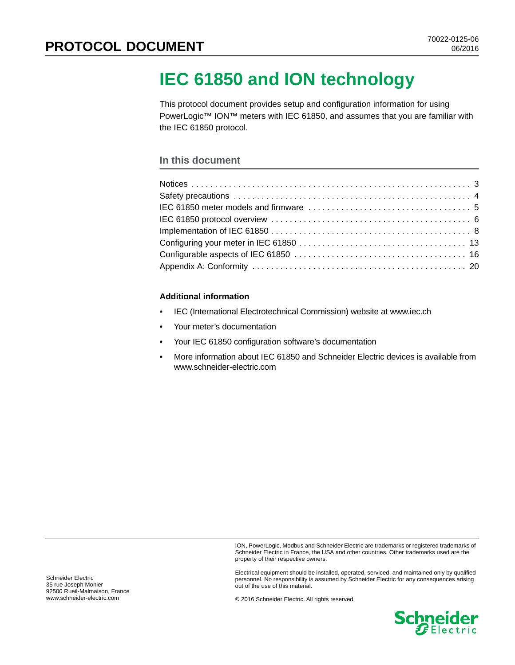# **IEC 61850 and ION technology**

This protocol document provides setup and configuration information for using PowerLogic™ ION™ meters with IEC 61850, and assumes that you are familiar with the IEC 61850 protocol.

#### **In this document**

#### **Additional information**

- IEC (International Electrotechnical Commission) website at www.iec.ch
- Your meter's documentation
- Your IEC 61850 configuration software's documentation
- More information about IEC 61850 and Schneider Electric devices is available from www.schneider-electric.com

ION, PowerLogic, Modbus and Schneider Electric are trademarks or registered trademarks of Schneider Electric in France, the USA and other countries. Other trademarks used are the property of their respective owners.

Electrical equipment should be installed, operated, serviced, and maintained only by qualified personnel. No responsibility is assumed by Schneider Electric for any consequences arising out of the use of this material.

© 2016 Schneider Electric. All rights reserved.

**Schneider** 

Schneider Electric 35 rue Joseph Monier 92500 Rueil-Malmaison, France www.schneider-electric.com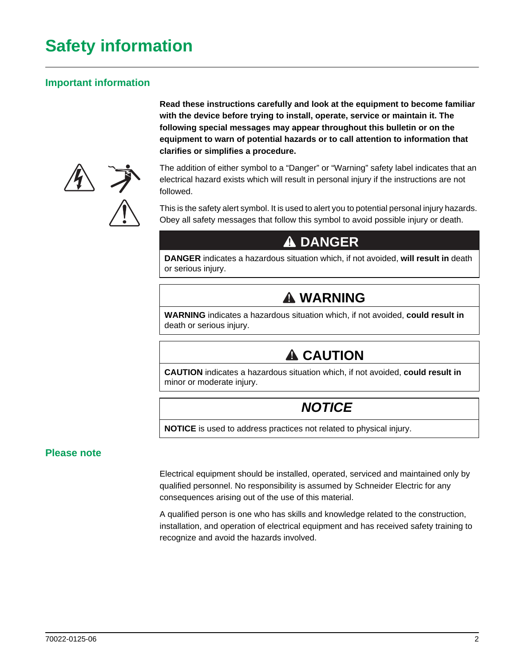# **Safety information**

## **Important information**

**Read these instructions carefully and look at the equipment to become familiar with the device before trying to install, operate, service or maintain it. The following special messages may appear throughout this bulletin or on the equipment to warn of potential hazards or to call attention to information that clarifies or simplifies a procedure.**



The addition of either symbol to a "Danger" or "Warning" safety label indicates that an electrical hazard exists which will result in personal injury if the instructions are not followed.

This is the safety alert symbol. It is used to alert you to potential personal injury hazards. Obey all safety messages that follow this symbol to avoid possible injury or death.

# **DANGER DADANGER**

**DANGER** indicates a hazardous situation which, if not avoided, **will result in** death or serious injury.

# **WARNING WARNING**

**WARNING** indicates a hazardous situation which, if not avoided, **could result in** death or serious injury.

# **A CAUTION**

**CAUTION** indicates a hazardous situation which, if not avoided, **could result in** minor or moderate injury.

# *NOTICE*

**NOTICE** is used to address practices not related to physical injury.

## **Please note**

Electrical equipment should be installed, operated, serviced and maintained only by qualified personnel. No responsibility is assumed by Schneider Electric for any consequences arising out of the use of this material.

A qualified person is one who has skills and knowledge related to the construction, installation, and operation of electrical equipment and has received safety training to recognize and avoid the hazards involved.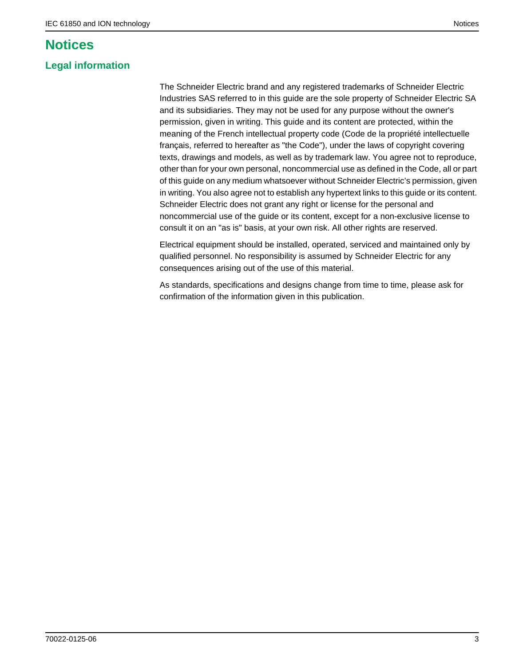# <span id="page-2-0"></span>**Notices**

## **Legal information**

The Schneider Electric brand and any registered trademarks of Schneider Electric Industries SAS referred to in this guide are the sole property of Schneider Electric SA and its subsidiaries. They may not be used for any purpose without the owner's permission, given in writing. This guide and its content are protected, within the meaning of the French intellectual property code (Code de la propriété intellectuelle français, referred to hereafter as "the Code"), under the laws of copyright covering texts, drawings and models, as well as by trademark law. You agree not to reproduce, other than for your own personal, noncommercial use as defined in the Code, all or part of this guide on any medium whatsoever without Schneider Electric's permission, given in writing. You also agree not to establish any hypertext links to this guide or its content. Schneider Electric does not grant any right or license for the personal and noncommercial use of the guide or its content, except for a non-exclusive license to consult it on an "as is" basis, at your own risk. All other rights are reserved.

Electrical equipment should be installed, operated, serviced and maintained only by qualified personnel. No responsibility is assumed by Schneider Electric for any consequences arising out of the use of this material.

As standards, specifications and designs change from time to time, please ask for confirmation of the information given in this publication.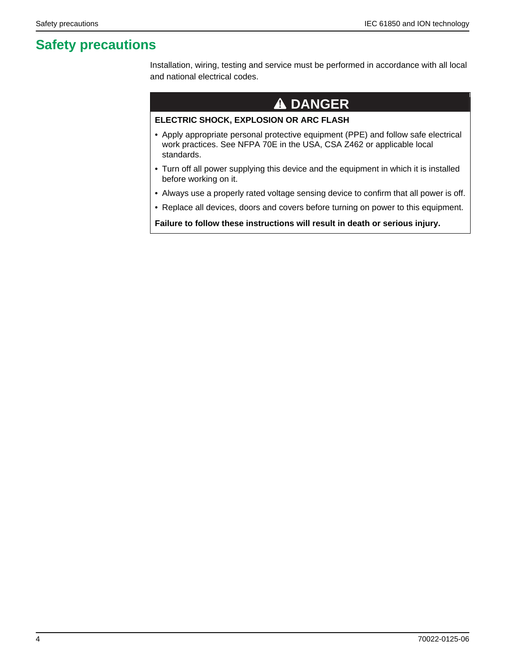# <span id="page-3-0"></span>**Safety precautions**

Installation, wiring, testing and service must be performed in accordance with all local and national electrical codes.

# **DANGER DADANGER**

#### **ELECTRIC SHOCK, EXPLOSION OR ARC FLASH**

- Apply appropriate personal protective equipment (PPE) and follow safe electrical work practices. See NFPA 70E in the USA, CSA Z462 or applicable local standards.
- Turn off all power supplying this device and the equipment in which it is installed before working on it.
- Always use a properly rated voltage sensing device to confirm that all power is off.
- Replace all devices, doors and covers before turning on power to this equipment.

**Failure to follow these instructions will result in death or serious injury.**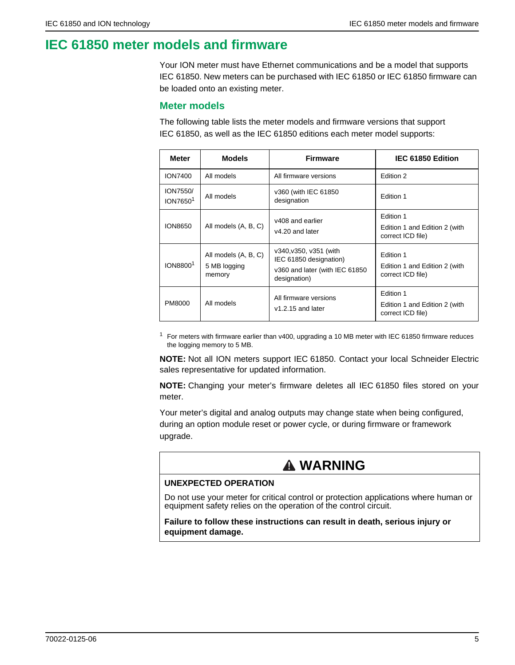# <span id="page-4-0"></span>**IEC 61850 meter models and firmware**

Your ION meter must have Ethernet communications and be a model that supports IEC 61850. New meters can be purchased with IEC 61850 or IEC 61850 firmware can be loaded onto an existing meter.

### **Meter models**

The following table lists the meter models and firmware versions that support IEC 61850, as well as the IEC 61850 editions each meter model supports:

| <b>Meter</b>                     | <b>Models</b>                                  | <b>Firmware</b>                                                                                    | IEC 61850 Edition                                               |  |
|----------------------------------|------------------------------------------------|----------------------------------------------------------------------------------------------------|-----------------------------------------------------------------|--|
| <b>ION7400</b>                   | All models                                     | All firmware versions                                                                              | Edition 2                                                       |  |
| ION7550/<br>ION7650 <sup>1</sup> | All models                                     | v360 (with IEC 61850)<br>designation                                                               | Edition 1                                                       |  |
| ION8650                          | All models (A, B, C)                           | v408 and earlier<br>v4.20 and later                                                                | Edition 1<br>Edition 1 and Edition 2 (with<br>correct ICD file) |  |
| ION8800 <sup>1</sup>             | All models (A, B, C)<br>5 MB logging<br>memory | v340, v350, v351 (with<br>IEC 61850 designation)<br>v360 and later (with IEC 61850<br>designation) | Edition 1<br>Edition 1 and Edition 2 (with<br>correct ICD file) |  |
| PM8000                           | All models                                     | All firmware versions<br>$v1.2.15$ and later                                                       | Edition 1<br>Edition 1 and Edition 2 (with<br>correct ICD file) |  |

 $1$  For meters with firmware earlier than v400, upgrading a 10 MB meter with IEC 61850 firmware reduces the logging memory to 5 MB.

**NOTE:** Not all ION meters support IEC 61850. Contact your local Schneider Electric sales representative for updated information.

**NOTE:** Changing your meter's firmware deletes all IEC 61850 files stored on your meter.

Your meter's digital and analog outputs may change state when being configured, during an option module reset or power cycle, or during firmware or framework upgrade.

# **WARNING WARNING**

#### **UNEXPECTED OPERATION**

Do not use your meter for critical control or protection applications where human or equipment safety relies on the operation of the control circuit.

**Failure to follow these instructions can result in death, serious injury or equipment damage.**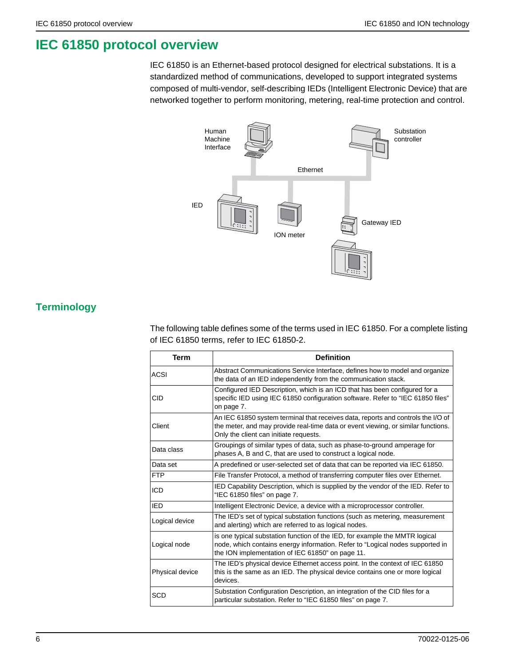# <span id="page-5-0"></span>**IEC 61850 protocol overview**

IEC 61850 is an Ethernet-based protocol designed for electrical substations. It is a standardized method of communications, developed to support integrated systems composed of multi-vendor, self-describing IEDs (Intelligent Electronic Device) that are networked together to perform monitoring, metering, real-time protection and control.



# **Terminology**

The following table defines some of the terms used in IEC 61850. For a complete listing of IEC 61850 terms, refer to IEC 61850-2.

| <b>Term</b>                                                                                                                                             | <b>Definition</b>                                                                                                                                                                                                |  |  |
|---------------------------------------------------------------------------------------------------------------------------------------------------------|------------------------------------------------------------------------------------------------------------------------------------------------------------------------------------------------------------------|--|--|
| <b>ACSI</b>                                                                                                                                             | Abstract Communications Service Interface, defines how to model and organize<br>the data of an IED independently from the communication stack.                                                                   |  |  |
| <b>CID</b>                                                                                                                                              | Configured IED Description, which is an ICD that has been configured for a<br>specific IED using IEC 61850 configuration software. Refer to "IEC 61850 files"<br>on page 7.                                      |  |  |
| Client                                                                                                                                                  | An IEC 61850 system terminal that receives data, reports and controls the I/O of<br>the meter, and may provide real-time data or event viewing, or similar functions.<br>Only the client can initiate requests.  |  |  |
| Data class                                                                                                                                              | Groupings of similar types of data, such as phase-to-ground amperage for<br>phases A, B and C, that are used to construct a logical node.                                                                        |  |  |
| Data set                                                                                                                                                | A predefined or user-selected set of data that can be reported via IEC 61850.                                                                                                                                    |  |  |
| <b>FTP</b>                                                                                                                                              | File Transfer Protocol, a method of transferring computer files over Ethernet.                                                                                                                                   |  |  |
| ICD                                                                                                                                                     | IED Capability Description, which is supplied by the vendor of the IED. Refer to<br>"IEC 61850 files" on page 7.                                                                                                 |  |  |
| IED                                                                                                                                                     | Intelligent Electronic Device, a device with a microprocessor controller.                                                                                                                                        |  |  |
| The IED's set of typical substation functions (such as metering, measurement<br>Logical device<br>and alerting) which are referred to as logical nodes. |                                                                                                                                                                                                                  |  |  |
| Logical node                                                                                                                                            | is one typical substation function of the IED, for example the MMTR logical<br>node, which contains energy information. Refer to "Logical nodes supported in<br>the ION implementation of IEC 61850" on page 11. |  |  |
| Physical device                                                                                                                                         | The IED's physical device Ethernet access point. In the context of IEC 61850<br>this is the same as an IED. The physical device contains one or more logical<br>devices.                                         |  |  |
| <b>SCD</b>                                                                                                                                              | Substation Configuration Description, an integration of the CID files for a<br>particular substation. Refer to "IEC 61850 files" on page 7.                                                                      |  |  |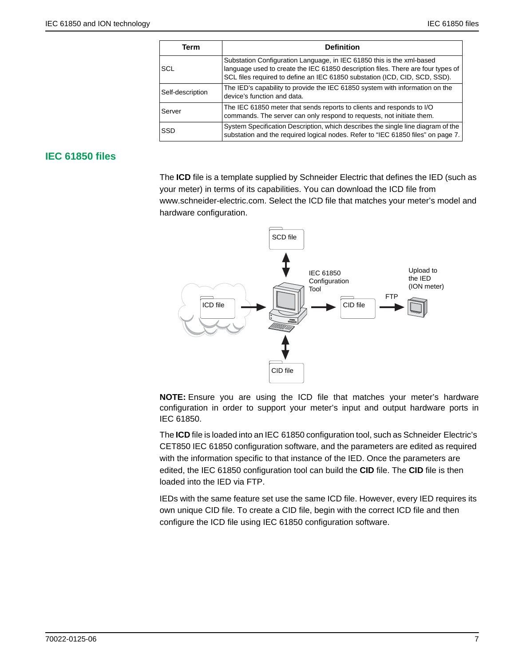| Term             | <b>Definition</b>                                                                                                                                                                                                                       |  |  |
|------------------|-----------------------------------------------------------------------------------------------------------------------------------------------------------------------------------------------------------------------------------------|--|--|
| SCL              | Substation Configuration Language, in IEC 61850 this is the xml-based<br>language used to create the IEC 61850 description files. There are four types of<br>SCL files required to define an IEC 61850 substation (ICD, CID, SCD, SSD). |  |  |
| Self-description | The IED's capability to provide the IEC 61850 system with information on the<br>device's function and data.                                                                                                                             |  |  |
| Server           | The IEC 61850 meter that sends reports to clients and responds to I/O<br>commands. The server can only respond to requests, not initiate them.                                                                                          |  |  |
| SSD              | System Specification Description, which describes the single line diagram of the<br>substation and the required logical nodes. Refer to "IEC 61850 files" on page 7.                                                                    |  |  |

## <span id="page-6-0"></span>**IEC 61850 files**

The **ICD** file is a template supplied by Schneider Electric that defines the IED (such as your meter) in terms of its capabilities. You can download the ICD file from www.schneider-electric.com. Select the ICD file that matches your meter's model and hardware configuration.



**NOTE:** Ensure you are using the ICD file that matches your meter's hardware configuration in order to support your meter's input and output hardware ports in IEC 61850.

The **ICD** file is loaded into an IEC 61850 configuration tool, such as Schneider Electric's CET850 IEC 61850 configuration software, and the parameters are edited as required with the information specific to that instance of the IED. Once the parameters are edited, the IEC 61850 configuration tool can build the **CID** file. The **CID** file is then loaded into the IED via FTP.

IEDs with the same feature set use the same ICD file. However, every IED requires its own unique CID file. To create a CID file, begin with the correct ICD file and then configure the ICD file using IEC 61850 configuration software.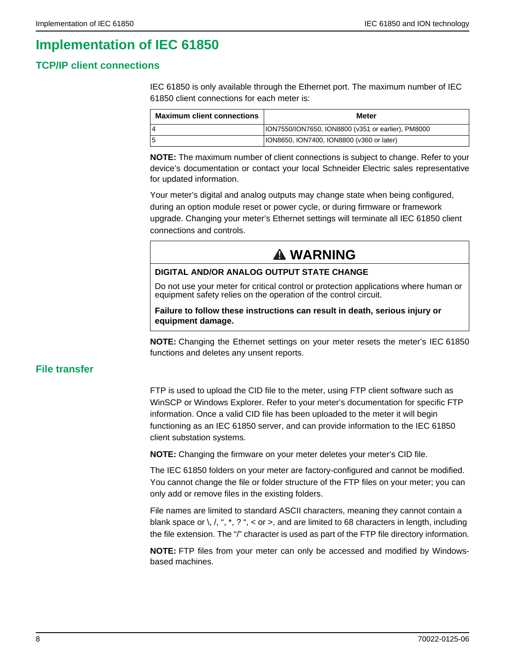# **Implementation of IEC 61850**

## **TCP/IP client connections**

IEC 61850 is only available through the Ethernet port. The maximum number of IEC 61850 client connections for each meter is:

| <b>Maximum client connections</b> | Meter                                              |
|-----------------------------------|----------------------------------------------------|
|                                   | ION7550/ION7650, ION8800 (v351 or earlier), PM8000 |
|                                   | ION8650, ION7400, ION8800 (v360 or later)          |

**NOTE:** The maximum number of client connections is subject to change. Refer to your device's documentation or contact your local Schneider Electric sales representative for updated information.

Your meter's digital and analog outputs may change state when being configured, during an option module reset or power cycle, or during firmware or framework upgrade. Changing your meter's Ethernet settings will terminate all IEC 61850 client connections and controls.

# **WARNING WARNING**

#### **DIGITAL AND/OR ANALOG OUTPUT STATE CHANGE**

Do not use your meter for critical control or protection applications where human or equipment safety relies on the operation of the control circuit.

#### **Failure to follow these instructions can result in death, serious injury or equipment damage.**

**NOTE:** Changing the Ethernet settings on your meter resets the meter's IEC 61850 functions and deletes any unsent reports.

## **File transfer**

FTP is used to upload the CID file to the meter, using FTP client software such as WinSCP or Windows Explorer. Refer to your meter's documentation for specific FTP information. Once a valid CID file has been uploaded to the meter it will begin functioning as an IEC 61850 server, and can provide information to the IEC 61850 client substation systems.

**NOTE:** Changing the firmware on your meter deletes your meter's CID file.

The IEC 61850 folders on your meter are factory-configured and cannot be modified. You cannot change the file or folder structure of the FTP files on your meter; you can only add or remove files in the existing folders.

File names are limited to standard ASCII characters, meaning they cannot contain a blank space or \, /, ", \*, ? ", < or >, and are limited to 68 characters in length, including the file extension. The "/" character is used as part of the FTP file directory information.

**NOTE:** FTP files from your meter can only be accessed and modified by Windowsbased machines.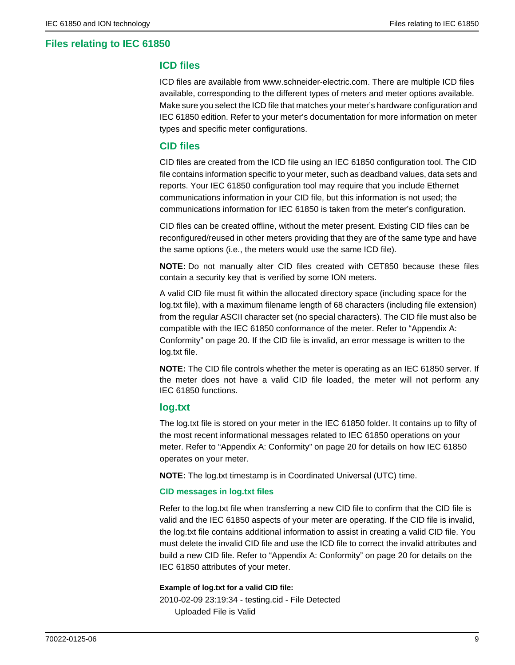## **Files relating to IEC 61850**

### **ICD files**

ICD files are available from www.schneider-electric.com. There are multiple ICD files available, corresponding to the different types of meters and meter options available. Make sure you select the ICD file that matches your meter's hardware configuration and IEC 61850 edition. Refer to your meter's documentation for more information on meter types and specific meter configurations.

#### **CID files**

CID files are created from the ICD file using an IEC 61850 configuration tool. The CID file contains information specific to your meter, such as deadband values, data sets and reports. Your IEC 61850 configuration tool may require that you include Ethernet communications information in your CID file, but this information is not used; the communications information for IEC 61850 is taken from the meter's configuration.

CID files can be created offline, without the meter present. Existing CID files can be reconfigured/reused in other meters providing that they are of the same type and have the same options (i.e., the meters would use the same ICD file).

**NOTE:** Do not manually alter CID files created with CET850 because these files contain a security key that is verified by some ION meters.

A valid CID file must fit within the allocated directory space (including space for the log.txt file), with a maximum filename length of 68 characters (including file extension) from the regular ASCII character set (no special characters). The CID file must also be compatible with the IEC 61850 conformance of the meter. Refer to ["Appendix A:](#page-19-0)  [Conformity" on page 20](#page-19-0). If the CID file is invalid, an error message is written to the log.txt file.

**NOTE:** The CID file controls whether the meter is operating as an IEC 61850 server. If the meter does not have a valid CID file loaded, the meter will not perform any IEC 61850 functions.

### **log.txt**

The log.txt file is stored on your meter in the IEC 61850 folder. It contains up to fifty of the most recent informational messages related to IEC 61850 operations on your meter. Refer to ["Appendix A: Conformity" on page 20](#page-19-0) for details on how IEC 61850 operates on your meter.

**NOTE:** The log.txt timestamp is in Coordinated Universal (UTC) time.

#### **CID messages in log.txt files**

Refer to the log.txt file when transferring a new CID file to confirm that the CID file is valid and the IEC 61850 aspects of your meter are operating. If the CID file is invalid, the log.txt file contains additional information to assist in creating a valid CID file. You must delete the invalid CID file and use the ICD file to correct the invalid attributes and build a new CID file. Refer to ["Appendix A: Conformity" on page 20](#page-19-0) for details on the IEC 61850 attributes of your meter.

#### **Example of log.txt for a valid CID file:**

2010-02-09 23:19:34 - testing.cid - File Detected Uploaded File is Valid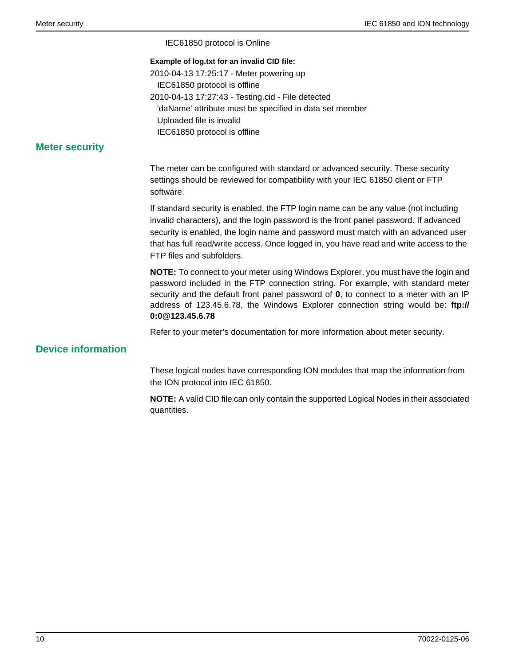IEC61850 protocol is Online

#### **Example of log.txt for an invalid CID file:**

2010-04-13 17:25:17 - Meter powering up IEC61850 protocol is offline 2010-04-13 17:27:43 - Testing.cid - File detected 'daName' attribute must be specified in data set member Uploaded file is invalid IEC61850 protocol is offline

## **Meter security**

The meter can be configured with standard or advanced security. These security settings should be reviewed for compatibility with your IEC 61850 client or FTP software.

If standard security is enabled, the FTP login name can be any value (not including invalid characters), and the login password is the front panel password. If advanced security is enabled, the login name and password must match with an advanced user that has full read/write access. Once logged in, you have read and write access to the FTP files and subfolders.

**NOTE:** To connect to your meter using Windows Explorer, you must have the login and password included in the FTP connection string. For example, with standard meter security and the default front panel password of **0**, to connect to a meter with an IP address of 123.45.6.78, the Windows Explorer connection string would be: **ftp:// 0:0@123.45.6.78**

Refer to your meter's documentation for more information about meter security.

## **Device information**

These logical nodes have corresponding ION modules that map the information from the ION protocol into IEC 61850.

**NOTE:** A valid CID file can only contain the supported Logical Nodes in their associated quantities.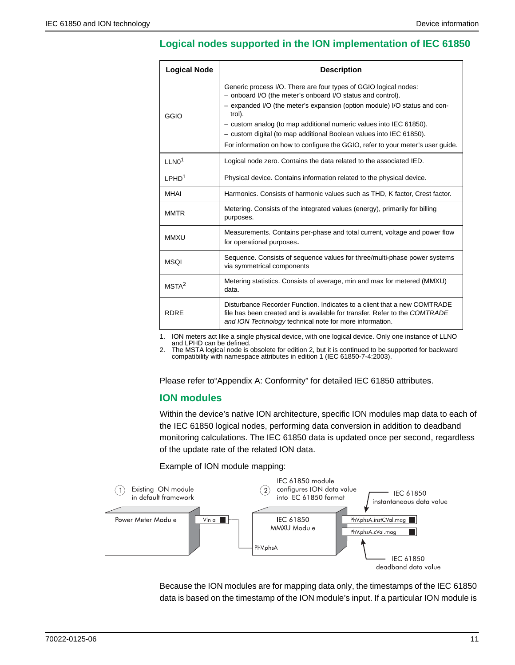## <span id="page-10-0"></span>**Logical nodes supported in the ION implementation of IEC 61850**

| <b>Logical Node</b>                                                                                                                                                                                                                                                                                                                                                                                                                                            | <b>Description</b>                                                                                      |  |  |
|----------------------------------------------------------------------------------------------------------------------------------------------------------------------------------------------------------------------------------------------------------------------------------------------------------------------------------------------------------------------------------------------------------------------------------------------------------------|---------------------------------------------------------------------------------------------------------|--|--|
| Generic process I/O. There are four types of GGIO logical nodes:<br>- onboard I/O (the meter's onboard I/O status and control).<br>- expanded I/O (the meter's expansion (option module) I/O status and con-<br>trol).<br>GGIO<br>- custom analog (to map additional numeric values into IEC 61850).<br>- custom digital (to map additional Boolean values into IEC 61850).<br>For information on how to configure the GGIO, refer to your meter's user guide. |                                                                                                         |  |  |
| 11 N <sub>0</sub> <sup>1</sup>                                                                                                                                                                                                                                                                                                                                                                                                                                 | Logical node zero. Contains the data related to the associated IED.                                     |  |  |
| LPHD <sup>1</sup>                                                                                                                                                                                                                                                                                                                                                                                                                                              | Physical device. Contains information related to the physical device.                                   |  |  |
| <b>MHAI</b>                                                                                                                                                                                                                                                                                                                                                                                                                                                    | Harmonics. Consists of harmonic values such as THD, K factor, Crest factor.                             |  |  |
| Metering. Consists of the integrated values (energy), primarily for billing<br><b>MMTR</b><br>purposes.                                                                                                                                                                                                                                                                                                                                                        |                                                                                                         |  |  |
| Measurements. Contains per-phase and total current, voltage and power flow<br><b>MMXU</b><br>for operational purposes.                                                                                                                                                                                                                                                                                                                                         |                                                                                                         |  |  |
| <b>MSOI</b>                                                                                                                                                                                                                                                                                                                                                                                                                                                    | Sequence. Consists of sequence values for three/multi-phase power systems<br>via symmetrical components |  |  |
| Metering statistics. Consists of average, min and max for metered (MMXU)<br>MSTA <sup>2</sup><br>data.                                                                                                                                                                                                                                                                                                                                                         |                                                                                                         |  |  |
| Disturbance Recorder Function. Indicates to a client that a new COMTRADE<br><b>RDRF</b><br>file has been created and is available for transfer. Refer to the COMTRADE<br>and ION Technology technical note for more information.                                                                                                                                                                                                                               |                                                                                                         |  |  |

1. ION meters act like a single physical device, with one logical device. Only one instance of LLNO and LPHD can be defined.

2. The MSTA logical node is obsolete for edition 2, but it is continued to be supported for backward compatibility with namespace attributes in edition 1 (IEC 61850-7-4:2003).

Please refer to["Appendix A: Conformity"](#page-19-0) for detailed IEC 61850 attributes.

## **ION modules**

Within the device's native ION architecture, specific ION modules map data to each of the IEC 61850 logical nodes, performing data conversion in addition to deadband monitoring calculations. The IEC 61850 data is updated once per second, regardless of the update rate of the related ION data.

Example of ION module mapping:



Because the ION modules are for mapping data only, the timestamps of the IEC 61850 data is based on the timestamp of the ION module's input. If a particular ION module is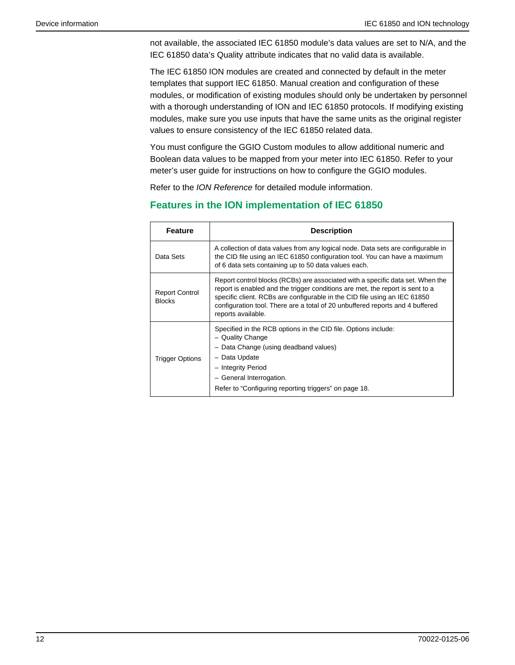not available, the associated IEC 61850 module's data values are set to N/A, and the IEC 61850 data's Quality attribute indicates that no valid data is available.

The IEC 61850 ION modules are created and connected by default in the meter templates that support IEC 61850. Manual creation and configuration of these modules, or modification of existing modules should only be undertaken by personnel with a thorough understanding of ION and IEC 61850 protocols. If modifying existing modules, make sure you use inputs that have the same units as the original register values to ensure consistency of the IEC 61850 related data.

You must configure the GGIO Custom modules to allow additional numeric and Boolean data values to be mapped from your meter into IEC 61850. Refer to your meter's user guide for instructions on how to configure the GGIO modules.

Refer to the *ION Reference* for detailed module information.

## **Features in the ION implementation of IEC 61850**

| <b>Feature</b>                         | <b>Description</b>                                                                                                                                                                                                                                                                                                                                  |  |
|----------------------------------------|-----------------------------------------------------------------------------------------------------------------------------------------------------------------------------------------------------------------------------------------------------------------------------------------------------------------------------------------------------|--|
| Data Sets                              | A collection of data values from any logical node. Data sets are configurable in<br>the CID file using an IEC 61850 configuration tool. You can have a maximum<br>of 6 data sets containing up to 50 data values each.                                                                                                                              |  |
| <b>Report Control</b><br><b>Blocks</b> | Report control blocks (RCBs) are associated with a specific data set. When the<br>report is enabled and the trigger conditions are met, the report is sent to a<br>specific client. RCBs are configurable in the CID file using an IEC 61850<br>configuration tool. There are a total of 20 unbuffered reports and 4 buffered<br>reports available. |  |
| <b>Trigger Options</b>                 | Specified in the RCB options in the CID file. Options include:<br>- Quality Change<br>- Data Change (using deadband values)<br>- Data Update<br>- Integrity Period<br>- General Interrogation.<br>Refer to "Configuring reporting triggers" on page 18.                                                                                             |  |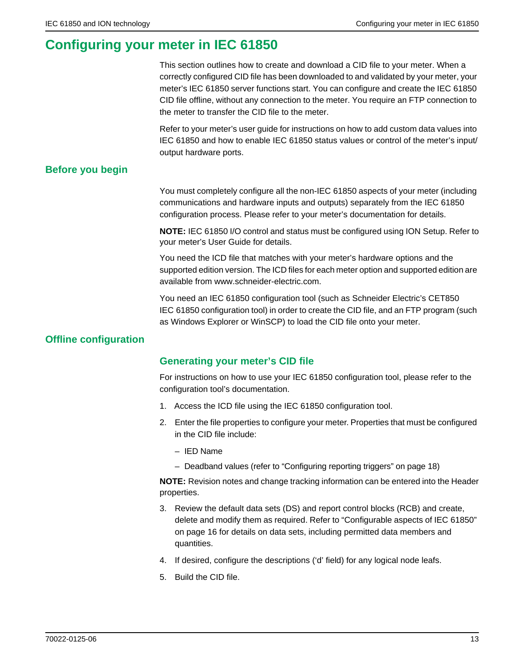# <span id="page-12-0"></span>**Configuring your meter in IEC 61850**

This section outlines how to create and download a CID file to your meter. When a correctly configured CID file has been downloaded to and validated by your meter, your meter's IEC 61850 server functions start. You can configure and create the IEC 61850 CID file offline, without any connection to the meter. You require an FTP connection to the meter to transfer the CID file to the meter.

Refer to your meter's user guide for instructions on how to add custom data values into IEC 61850 and how to enable IEC 61850 status values or control of the meter's input/ output hardware ports.

## **Before you begin**

You must completely configure all the non-IEC 61850 aspects of your meter (including communications and hardware inputs and outputs) separately from the IEC 61850 configuration process. Please refer to your meter's documentation for details.

**NOTE:** IEC 61850 I/O control and status must be configured using ION Setup. Refer to your meter's User Guide for details.

You need the ICD file that matches with your meter's hardware options and the supported edition version. The ICD files for each meter option and supported edition are available from www.schneider-electric.com.

You need an IEC 61850 configuration tool (such as Schneider Electric's CET850 IEC 61850 configuration tool) in order to create the CID file, and an FTP program (such as Windows Explorer or WinSCP) to load the CID file onto your meter.

## **Offline configuration**

## **Generating your meter's CID file**

For instructions on how to use your IEC 61850 configuration tool, please refer to the configuration tool's documentation.

- 1. Access the ICD file using the IEC 61850 configuration tool.
- 2. Enter the file properties to configure your meter. Properties that must be configured in the CID file include:
	- IED Name
	- Deadband values (refer to ["Configuring reporting triggers" on page 18\)](#page-17-0)

**NOTE:** Revision notes and change tracking information can be entered into the Header properties.

- 3. Review the default data sets (DS) and report control blocks (RCB) and create, delete and modify them as required. Refer to ["Configurable aspects of IEC 61850"](#page-15-0)  [on page 16](#page-15-0) for details on data sets, including permitted data members and quantities.
- 4. If desired, configure the descriptions ('d' field) for any logical node leafs.
- 5. Build the CID file.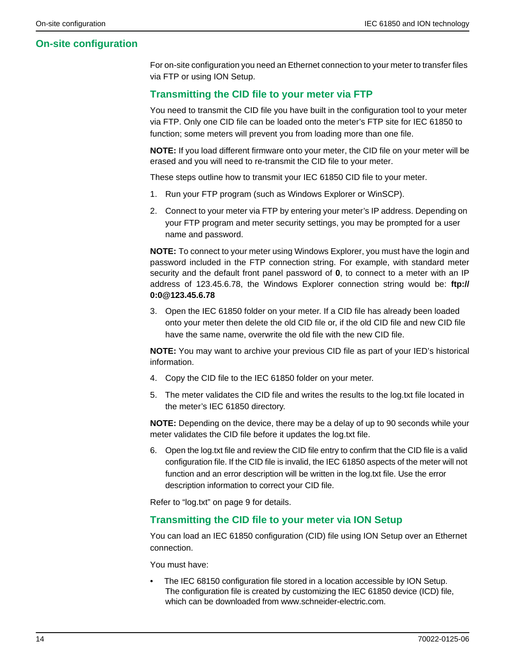## **On-site configuration**

For on-site configuration you need an Ethernet connection to your meter to transfer files via FTP or using ION Setup.

## **Transmitting the CID file to your meter via FTP**

You need to transmit the CID file you have built in the configuration tool to your meter via FTP. Only one CID file can be loaded onto the meter's FTP site for IEC 61850 to function; some meters will prevent you from loading more than one file.

**NOTE:** If you load different firmware onto your meter, the CID file on your meter will be erased and you will need to re-transmit the CID file to your meter.

These steps outline how to transmit your IEC 61850 CID file to your meter.

- 1. Run your FTP program (such as Windows Explorer or WinSCP).
- 2. Connect to your meter via FTP by entering your meter's IP address. Depending on your FTP program and meter security settings, you may be prompted for a user name and password.

**NOTE:** To connect to your meter using Windows Explorer, you must have the login and password included in the FTP connection string. For example, with standard meter security and the default front panel password of **0**, to connect to a meter with an IP address of 123.45.6.78, the Windows Explorer connection string would be: **ftp:// 0:0@123.45.6.78**

3. Open the IEC 61850 folder on your meter. If a CID file has already been loaded onto your meter then delete the old CID file or, if the old CID file and new CID file have the same name, overwrite the old file with the new CID file.

**NOTE:** You may want to archive your previous CID file as part of your IED's historical information.

- 4. Copy the CID file to the IEC 61850 folder on your meter.
- 5. The meter validates the CID file and writes the results to the log.txt file located in the meter's IEC 61850 directory.

**NOTE:** Depending on the device, there may be a delay of up to 90 seconds while your meter validates the CID file before it updates the log.txt file.

6. Open the log.txt file and review the CID file entry to confirm that the CID file is a valid configuration file. If the CID file is invalid, the IEC 61850 aspects of the meter will not function and an error description will be written in the log.txt file. Use the error description information to correct your CID file.

Refer to "log.txt" on page 9 for details.

#### **Transmitting the CID file to your meter via ION Setup**

You can load an IEC 61850 configuration (CID) file using ION Setup over an Ethernet connection.

You must have:

The IEC 68150 configuration file stored in a location accessible by ION Setup. The configuration file is created by customizing the IEC 61850 device (ICD) file, which can be downloaded from www.schneider-electric.com.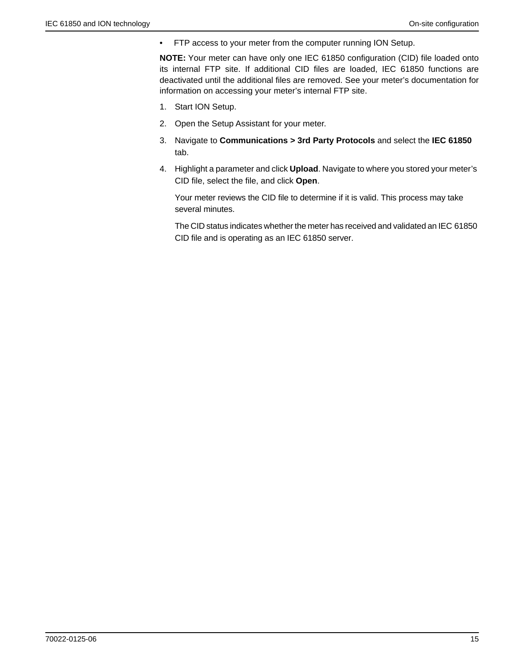• FTP access to your meter from the computer running ION Setup.

**NOTE:** Your meter can have only one IEC 61850 configuration (CID) file loaded onto its internal FTP site. If additional CID files are loaded, IEC 61850 functions are deactivated until the additional files are removed. See your meter's documentation for information on accessing your meter's internal FTP site.

- 1. Start ION Setup.
- 2. Open the Setup Assistant for your meter.
- 3. Navigate to **Communications > 3rd Party Protocols** and select the **IEC 61850** tab.
- 4. Highlight a parameter and click **Upload**. Navigate to where you stored your meter's CID file, select the file, and click **Open**.

Your meter reviews the CID file to determine if it is valid. This process may take several minutes.

The CID status indicates whether the meter has received and validated an IEC 61850 CID file and is operating as an IEC 61850 server.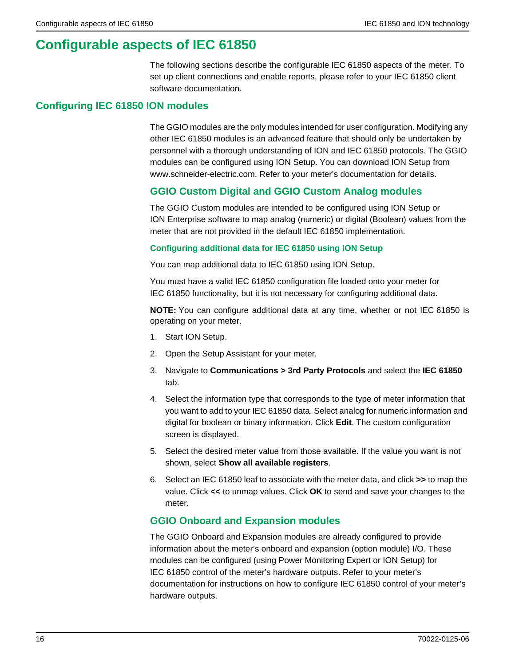# <span id="page-15-0"></span>**Configurable aspects of IEC 61850**

The following sections describe the configurable IEC 61850 aspects of the meter. To set up client connections and enable reports, please refer to your IEC 61850 client software documentation.

## **Configuring IEC 61850 ION modules**

The GGIO modules are the only modules intended for user configuration. Modifying any other IEC 61850 modules is an advanced feature that should only be undertaken by personnel with a thorough understanding of ION and IEC 61850 protocols. The GGIO modules can be configured using ION Setup. You can download ION Setup from www.schneider-electric.com. Refer to your meter's documentation for details.

## **GGIO Custom Digital and GGIO Custom Analog modules**

The GGIO Custom modules are intended to be configured using ION Setup or ION Enterprise software to map analog (numeric) or digital (Boolean) values from the meter that are not provided in the default IEC 61850 implementation.

#### **Configuring additional data for IEC 61850 using ION Setup**

You can map additional data to IEC 61850 using ION Setup.

You must have a valid IEC 61850 configuration file loaded onto your meter for IEC 61850 functionality, but it is not necessary for configuring additional data.

**NOTE:** You can configure additional data at any time, whether or not IEC 61850 is operating on your meter.

- 1. Start ION Setup.
- 2. Open the Setup Assistant for your meter.
- 3. Navigate to **Communications > 3rd Party Protocols** and select the **IEC 61850** tab.
- 4. Select the information type that corresponds to the type of meter information that you want to add to your IEC 61850 data. Select analog for numeric information and digital for boolean or binary information. Click **Edit**. The custom configuration screen is displayed.
- 5. Select the desired meter value from those available. If the value you want is not shown, select **Show all available registers**.
- 6. Select an IEC 61850 leaf to associate with the meter data, and click **>>** to map the value. Click **<<** to unmap values. Click **OK** to send and save your changes to the meter.

## **GGIO Onboard and Expansion modules**

The GGIO Onboard and Expansion modules are already configured to provide information about the meter's onboard and expansion (option module) I/O. These modules can be configured (using Power Monitoring Expert or ION Setup) for IEC 61850 control of the meter's hardware outputs. Refer to your meter's documentation for instructions on how to configure IEC 61850 control of your meter's hardware outputs.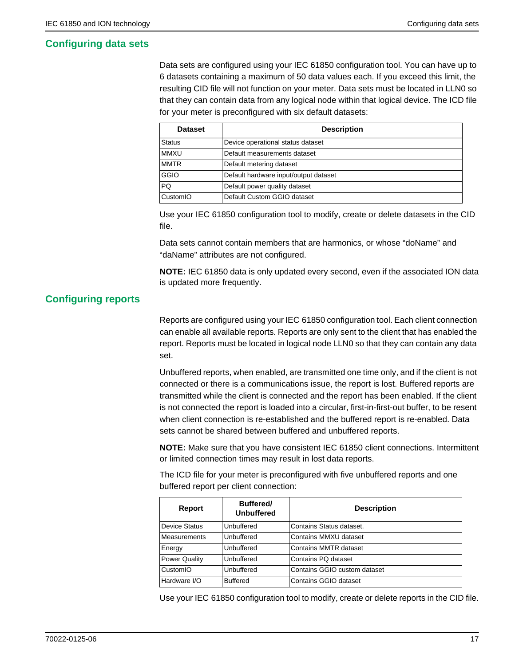## <span id="page-16-0"></span>**Configuring data sets**

Data sets are configured using your IEC 61850 configuration tool. You can have up to 6 datasets containing a maximum of 50 data values each. If you exceed this limit, the resulting CID file will not function on your meter. Data sets must be located in LLN0 so that they can contain data from any logical node within that logical device. The ICD file for your meter is preconfigured with six default datasets:

| <b>Dataset</b> | <b>Description</b>                    |
|----------------|---------------------------------------|
| <b>Status</b>  | Device operational status dataset     |
| <b>MMXU</b>    | Default measurements dataset          |
| <b>MMTR</b>    | Default metering dataset              |
| <b>GGIO</b>    | Default hardware input/output dataset |
| <b>PQ</b>      | Default power quality dataset         |
| CustomIO       | Default Custom GGIO dataset           |

Use your IEC 61850 configuration tool to modify, create or delete datasets in the CID file.

Data sets cannot contain members that are harmonics, or whose "doName" and "daName" attributes are not configured.

**NOTE:** IEC 61850 data is only updated every second, even if the associated ION data is updated more frequently.

## **Configuring reports**

Reports are configured using your IEC 61850 configuration tool. Each client connection can enable all available reports. Reports are only sent to the client that has enabled the report. Reports must be located in logical node LLN0 so that they can contain any data set.

Unbuffered reports, when enabled, are transmitted one time only, and if the client is not connected or there is a communications issue, the report is lost. Buffered reports are transmitted while the client is connected and the report has been enabled. If the client is not connected the report is loaded into a circular, first-in-first-out buffer, to be resent when client connection is re-established and the buffered report is re-enabled. Data sets cannot be shared between buffered and unbuffered reports.

**NOTE:** Make sure that you have consistent IEC 61850 client connections. Intermittent or limited connection times may result in lost data reports.

The ICD file for your meter is preconfigured with five unbuffered reports and one buffered report per client connection:

| Report               | <b>Buffered/</b><br><b>Unbuffered</b> | <b>Description</b>           |
|----------------------|---------------------------------------|------------------------------|
| Device Status        | Unbuffered                            | Contains Status dataset.     |
| <b>Measurements</b>  | Unbuffered                            | Contains MMXU dataset        |
| Energy               | Unbuffered                            | Contains MMTR dataset        |
| <b>Power Quality</b> | Unbuffered                            | Contains PQ dataset          |
| CustomIO             | Unbuffered                            | Contains GGIO custom dataset |
| Hardware I/O         | <b>Buffered</b>                       | Contains GGIO dataset        |

Use your IEC 61850 configuration tool to modify, create or delete reports in the CID file.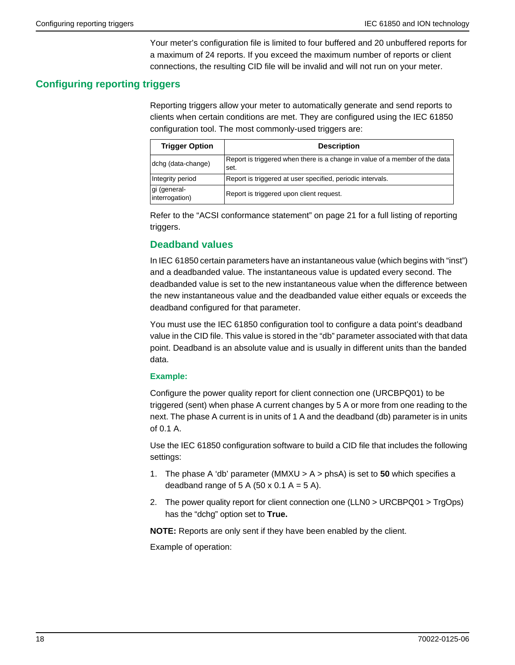Your meter's configuration file is limited to four buffered and 20 unbuffered reports for a maximum of 24 reports. If you exceed the maximum number of reports or client connections, the resulting CID file will be invalid and will not run on your meter.

## <span id="page-17-0"></span>**Configuring reporting triggers**

Reporting triggers allow your meter to automatically generate and send reports to clients when certain conditions are met. They are configured using the IEC 61850 configuration tool. The most commonly-used triggers are:

| <b>Trigger Option</b>          | <b>Description</b>                                                                  |  |  |  |
|--------------------------------|-------------------------------------------------------------------------------------|--|--|--|
| dchg (data-change)             | Report is triggered when there is a change in value of a member of the data<br>set. |  |  |  |
| Integrity period               | Report is triggered at user specified, periodic intervals.                          |  |  |  |
| gi (general-<br>interrogation) | Report is triggered upon client request.                                            |  |  |  |

Refer to the ["ACSI conformance statement" on page 21](#page-20-0) for a full listing of reporting triggers.

## **Deadband values**

In IEC 61850 certain parameters have an instantaneous value (which begins with "inst") and a deadbanded value. The instantaneous value is updated every second. The deadbanded value is set to the new instantaneous value when the difference between the new instantaneous value and the deadbanded value either equals or exceeds the deadband configured for that parameter.

You must use the IEC 61850 configuration tool to configure a data point's deadband value in the CID file. This value is stored in the "db" parameter associated with that data point. Deadband is an absolute value and is usually in different units than the banded data.

#### **Example:**

Configure the power quality report for client connection one (URCBPQ01) to be triggered (sent) when phase A current changes by 5 A or more from one reading to the next. The phase A current is in units of 1 A and the deadband (db) parameter is in units of 0.1 A.

Use the IEC 61850 configuration software to build a CID file that includes the following settings:

- 1. The phase A 'db' parameter (MMXU > A > phsA) is set to **50** which specifies a deadband range of 5 A (50 x 0.1 A = 5 A).
- 2. The power quality report for client connection one (LLN0 > URCBPQ01 > TrgOps) has the "dchg" option set to **True.**

**NOTE:** Reports are only sent if they have been enabled by the client.

Example of operation: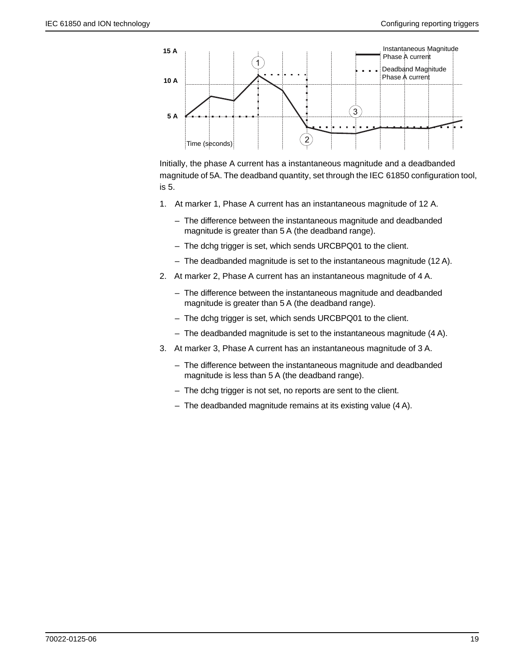

Initially, the phase A current has a instantaneous magnitude and a deadbanded magnitude of 5A. The deadband quantity, set through the IEC 61850 configuration tool, is 5.

- 1. At marker 1, Phase A current has an instantaneous magnitude of 12 A.
	- The difference between the instantaneous magnitude and deadbanded magnitude is greater than 5 A (the deadband range).
	- The dchg trigger is set, which sends URCBPQ01 to the client.
	- The deadbanded magnitude is set to the instantaneous magnitude (12 A).
- 2. At marker 2, Phase A current has an instantaneous magnitude of 4 A.
	- The difference between the instantaneous magnitude and deadbanded magnitude is greater than 5 A (the deadband range).
	- The dchg trigger is set, which sends URCBPQ01 to the client.
	- The deadbanded magnitude is set to the instantaneous magnitude (4 A).
- 3. At marker 3, Phase A current has an instantaneous magnitude of 3 A.
	- The difference between the instantaneous magnitude and deadbanded magnitude is less than 5 A (the deadband range).
	- The dchg trigger is not set, no reports are sent to the client.
	- The deadbanded magnitude remains at its existing value (4 A).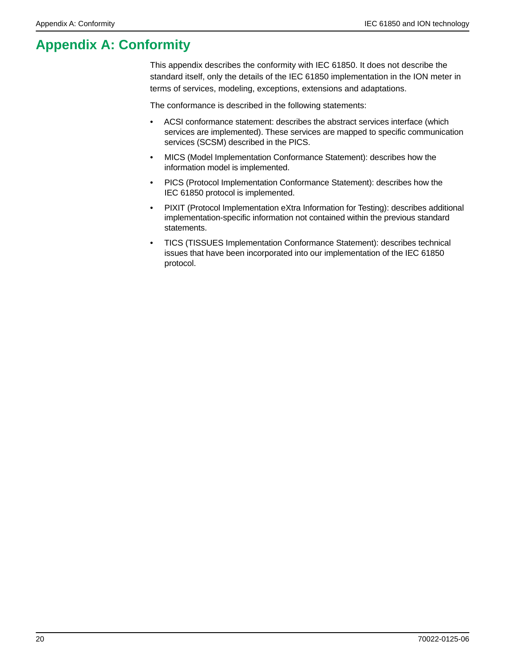# <span id="page-19-0"></span>**Appendix A: Conformity**

This appendix describes the conformity with IEC 61850. It does not describe the standard itself, only the details of the IEC 61850 implementation in the ION meter in terms of services, modeling, exceptions, extensions and adaptations.

The conformance is described in the following statements:

- ACSI conformance statement: describes the abstract services interface (which services are implemented). These services are mapped to specific communication services (SCSM) described in the PICS.
- MICS (Model Implementation Conformance Statement): describes how the information model is implemented.
- PICS (Protocol Implementation Conformance Statement): describes how the IEC 61850 protocol is implemented.
- PIXIT (Protocol Implementation eXtra Information for Testing): describes additional implementation-specific information not contained within the previous standard statements.
- TICS (TISSUES Implementation Conformance Statement): describes technical issues that have been incorporated into our implementation of the IEC 61850 protocol.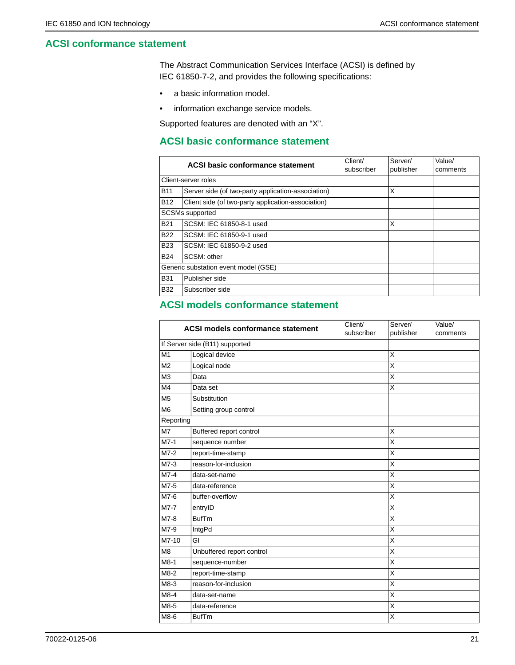## <span id="page-20-0"></span>**ACSI conformance statement**

The Abstract Communication Services Interface (ACSI) is defined by IEC 61850-7-2, and provides the following specifications:

- a basic information model.
- information exchange service models.

Supported features are denoted with an "X".

## **ACSI basic conformance statement**

| ACSI basic conformance statement |                                                    | Client/<br>subscriber | Server/<br>publisher | Value/<br>comments |
|----------------------------------|----------------------------------------------------|-----------------------|----------------------|--------------------|
|                                  | Client-server roles                                |                       |                      |                    |
| <b>B11</b>                       | Server side (of two-party application-association) |                       | X                    |                    |
| <b>B12</b>                       | Client side (of two-party application-association) |                       |                      |                    |
|                                  | <b>SCSMs</b> supported                             |                       |                      |                    |
| <b>B21</b>                       | SCSM: IEC 61850-8-1 used                           |                       | X                    |                    |
| <b>B22</b>                       | SCSM: IEC 61850-9-1 used                           |                       |                      |                    |
| <b>B23</b>                       | SCSM: IEC 61850-9-2 used                           |                       |                      |                    |
| <b>B24</b>                       | SCSM: other                                        |                       |                      |                    |
|                                  | Generic substation event model (GSE)               |                       |                      |                    |
| <b>B31</b>                       | Publisher side                                     |                       |                      |                    |
| <b>B32</b>                       | Subscriber side                                    |                       |                      |                    |

## **ACSI models conformance statement**

| <b>ACSI models conformance statement</b> |                           | Client/<br>subscriber | Server/<br>publisher    | Value/<br>comments |
|------------------------------------------|---------------------------|-----------------------|-------------------------|--------------------|
| If Server side (B11) supported           |                           |                       |                         |                    |
| M <sub>1</sub>                           | Logical device            |                       | X                       |                    |
| M <sub>2</sub>                           | Logical node              |                       | X                       |                    |
| M <sub>3</sub>                           | Data                      |                       | X                       |                    |
| M <sub>4</sub>                           | Data set                  |                       | X                       |                    |
| M <sub>5</sub>                           | Substitution              |                       |                         |                    |
| M <sub>6</sub>                           | Setting group control     |                       |                         |                    |
| Reporting                                |                           |                       |                         |                    |
| M <sub>7</sub>                           | Buffered report control   |                       | X                       |                    |
| $M7-1$                                   | sequence number           |                       | X                       |                    |
| $M7-2$                                   | report-time-stamp         |                       | X                       |                    |
| $M7-3$                                   | reason-for-inclusion      |                       | X                       |                    |
| $M7-4$                                   | data-set-name             |                       | X                       |                    |
| M7-5                                     | data-reference            |                       | X                       |                    |
| M7-6                                     | buffer-overflow           |                       | X                       |                    |
| M7-7                                     | entryID                   |                       | $\overline{\mathsf{x}}$ |                    |
| M7-8                                     | <b>BufTm</b>              |                       | X                       |                    |
| M7-9                                     | IntgPd                    |                       | X                       |                    |
| M7-10                                    | GI                        |                       | X                       |                    |
| M <sub>8</sub>                           | Unbuffered report control |                       | X                       |                    |
| $M8-1$                                   | sequence-number           |                       | X                       |                    |
| $M8-2$                                   | report-time-stamp         |                       | X                       |                    |
| $M8-3$                                   | reason-for-inclusion      |                       | X                       |                    |
| $M8-4$                                   | data-set-name             |                       | X                       |                    |
| M8-5                                     | data-reference            |                       | Χ                       |                    |
| M8-6                                     | <b>BufTm</b>              |                       | X                       |                    |
|                                          |                           |                       |                         |                    |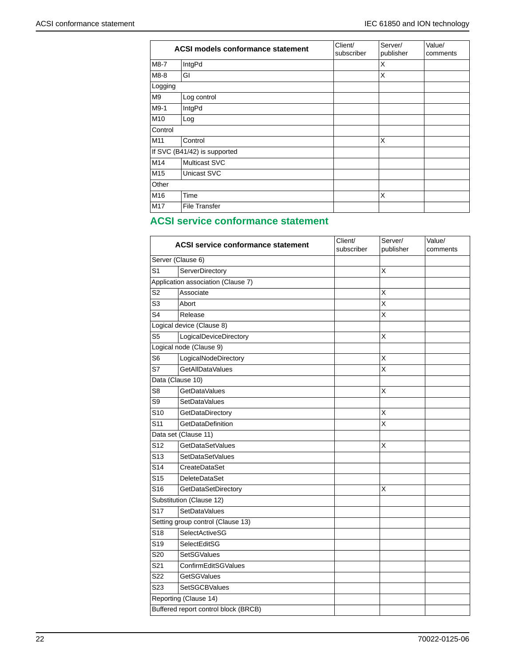|                | <b>ACSI models conformance statement</b> |  | Server/<br>publisher    | Value/<br>comments |
|----------------|------------------------------------------|--|-------------------------|--------------------|
| M8-7           | IntgPd                                   |  | X                       |                    |
| M8-8           | GI                                       |  | $\times$                |                    |
| Logging        |                                          |  |                         |                    |
| M <sub>9</sub> | Log control                              |  |                         |                    |
| M9-1           | IntgPd                                   |  |                         |                    |
| M10            | Log                                      |  |                         |                    |
| Control        |                                          |  |                         |                    |
| M11            | Control                                  |  | $\overline{\mathsf{x}}$ |                    |
|                | If SVC (B41/42) is supported             |  |                         |                    |
| M14            | <b>Multicast SVC</b>                     |  |                         |                    |
| M15            | Unicast SVC                              |  |                         |                    |
| Other          |                                          |  |                         |                    |
| M16            | Time                                     |  | $\overline{\mathsf{x}}$ |                    |
| M17            | <b>File Transfer</b>                     |  |                         |                    |

# **ACSI service conformance statement**

|                 | <b>ACSI service conformance statement</b> | Client/<br>subscriber | Server/<br>publisher | Value/<br>comments |
|-----------------|-------------------------------------------|-----------------------|----------------------|--------------------|
|                 | Server (Clause 6)                         |                       |                      |                    |
| S <sub>1</sub>  | ServerDirectory                           |                       | Χ                    |                    |
|                 | Application association (Clause 7)        |                       |                      |                    |
| S <sub>2</sub>  | Associate                                 |                       | X                    |                    |
| S <sub>3</sub>  | Abort                                     |                       | X                    |                    |
| S4              | Release                                   |                       | X                    |                    |
|                 | Logical device (Clause 8)                 |                       |                      |                    |
| S <sub>5</sub>  | LogicalDeviceDirectory                    |                       | X                    |                    |
|                 | Logical node (Clause 9)                   |                       |                      |                    |
| S <sub>6</sub>  | LogicalNodeDirectory                      |                       | X                    |                    |
| S7              | GetAllDataValues                          |                       | Χ                    |                    |
|                 | Data (Clause 10)                          |                       |                      |                    |
| S8              | GetDataValues                             |                       | Χ                    |                    |
| S <sub>9</sub>  | SetDataValues                             |                       |                      |                    |
| S <sub>10</sub> | GetDataDirectory                          |                       | X                    |                    |
| S <sub>11</sub> | GetDataDefinition                         |                       | X                    |                    |
|                 | Data set (Clause 11)                      |                       |                      |                    |
| S <sub>12</sub> | GetDataSetValues                          |                       | Х                    |                    |
| S <sub>13</sub> | SetDataSetValues                          |                       |                      |                    |
| S <sub>14</sub> | CreateDataSet                             |                       |                      |                    |
| S <sub>15</sub> | <b>DeleteDataSet</b>                      |                       |                      |                    |
| S <sub>16</sub> | GetDataSetDirectory                       |                       | X                    |                    |
|                 | Substitution (Clause 12)                  |                       |                      |                    |
| S <sub>17</sub> | SetDataValues                             |                       |                      |                    |
|                 | Setting group control (Clause 13)         |                       |                      |                    |
| S <sub>18</sub> | SelectActiveSG                            |                       |                      |                    |
| S <sub>19</sub> | SelectEditSG                              |                       |                      |                    |
| S <sub>20</sub> | <b>SetSGValues</b>                        |                       |                      |                    |
| S <sub>21</sub> | ConfirmEditSGValues                       |                       |                      |                    |
| S <sub>22</sub> | <b>GetSGValues</b>                        |                       |                      |                    |
| S <sub>23</sub> | <b>SetSGCBValues</b>                      |                       |                      |                    |
|                 | Reporting (Clause 14)                     |                       |                      |                    |
|                 | Buffered report control block (BRCB)      |                       |                      |                    |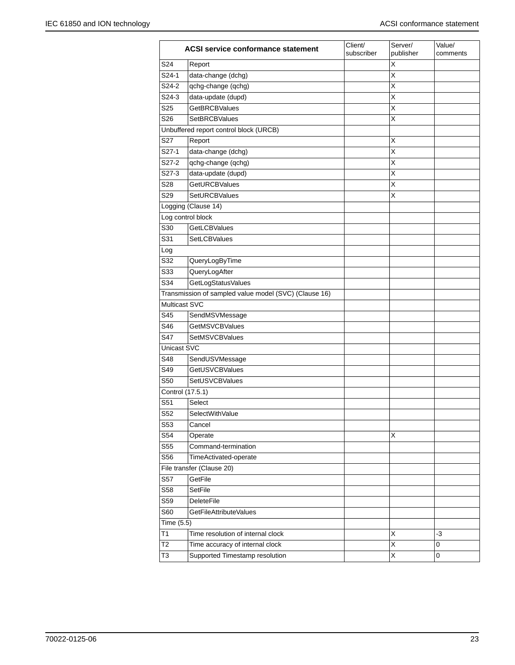|                  | ACSI service conformance statement                    | Client/<br>subscriber | Server/<br>publisher    | Value/<br>comments |
|------------------|-------------------------------------------------------|-----------------------|-------------------------|--------------------|
| S24              | Report                                                |                       | X                       |                    |
| S24-1            | data-change (dchg)                                    |                       | Χ                       |                    |
| S24-2            | qchg-change (qchg)                                    |                       | X                       |                    |
| S24-3            | data-update (dupd)                                    |                       | X                       |                    |
| S <sub>25</sub>  | <b>GetBRCBValues</b>                                  |                       | X                       |                    |
| S <sub>26</sub>  | <b>SetBRCBValues</b>                                  |                       | $\overline{\mathsf{x}}$ |                    |
|                  | Unbuffered report control block (URCB)                |                       |                         |                    |
| S27              | Report                                                |                       | X                       |                    |
| $S27-1$          | data-change (dchg)                                    |                       | X                       |                    |
| S27-2            | qchg-change (qchg)                                    |                       | X                       |                    |
| $S27-3$          | data-update (dupd)                                    |                       | X                       |                    |
| S28              | <b>GetURCBValues</b>                                  |                       | X                       |                    |
| S29              | <b>SetURCBValues</b>                                  |                       | X                       |                    |
|                  | Logging (Clause 14)                                   |                       |                         |                    |
|                  | Log control block                                     |                       |                         |                    |
| S30              | <b>GetLCBValues</b>                                   |                       |                         |                    |
| S31              | <b>SetLCBValues</b>                                   |                       |                         |                    |
| Log              |                                                       |                       |                         |                    |
| S32              | QueryLogByTime                                        |                       |                         |                    |
| S33              | QueryLogAfter                                         |                       |                         |                    |
| S34              | GetLogStatusValues                                    |                       |                         |                    |
|                  | Transmission of sampled value model (SVC) (Clause 16) |                       |                         |                    |
| Multicast SVC    |                                                       |                       |                         |                    |
| S45              | SendMSVMessage                                        |                       |                         |                    |
| S46              | <b>GetMSVCBValues</b>                                 |                       |                         |                    |
| S47              | SetMSVCBValues                                        |                       |                         |                    |
| Unicast SVC      |                                                       |                       |                         |                    |
| S48              | SendUSVMessage                                        |                       |                         |                    |
| S49              | <b>GetUSVCBValues</b>                                 |                       |                         |                    |
| S50              | SetUSVCBValues                                        |                       |                         |                    |
| Control (17.5.1) |                                                       |                       |                         |                    |
| S51              | Select                                                |                       |                         |                    |
| S52              | SelectWithValue                                       |                       |                         |                    |
| S53              | Cancel                                                |                       |                         |                    |
| S54              | Operate                                               |                       | X                       |                    |
| S55              | Command-termination                                   |                       |                         |                    |
| S56              | TimeActivated-operate                                 |                       |                         |                    |
|                  | File transfer (Clause 20)                             |                       |                         |                    |
| S57              | GetFile                                               |                       |                         |                    |
| S58              | SetFile                                               |                       |                         |                    |
| S59              | <b>DeleteFile</b>                                     |                       |                         |                    |
| S60              | GetFileAttributeValues                                |                       |                         |                    |
| Time (5.5)       |                                                       |                       |                         |                    |
| T1               | Time resolution of internal clock                     |                       | X                       | -3                 |
| T <sub>2</sub>   | Time accuracy of internal clock                       |                       | Χ                       | 0                  |
| T <sub>3</sub>   | Supported Timestamp resolution                        |                       | Χ                       | 0                  |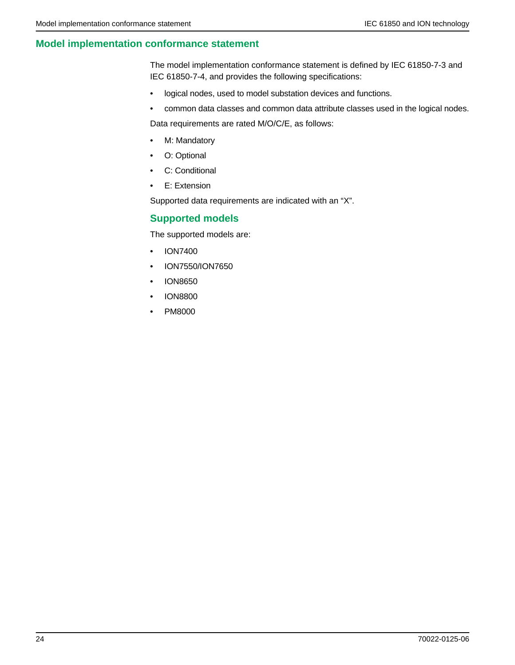## **Model implementation conformance statement**

The model implementation conformance statement is defined by IEC 61850-7-3 and IEC 61850-7-4, and provides the following specifications:

- logical nodes, used to model substation devices and functions.
- common data classes and common data attribute classes used in the logical nodes.

Data requirements are rated M/O/C/E, as follows:

- M: Mandatory
- O: Optional
- C: Conditional
- E: Extension

Supported data requirements are indicated with an "X".

## <span id="page-23-0"></span>**Supported models**

The supported models are:

- ION7400
- ION7550/ION7650
- ION8650
- ION8800
- PM8000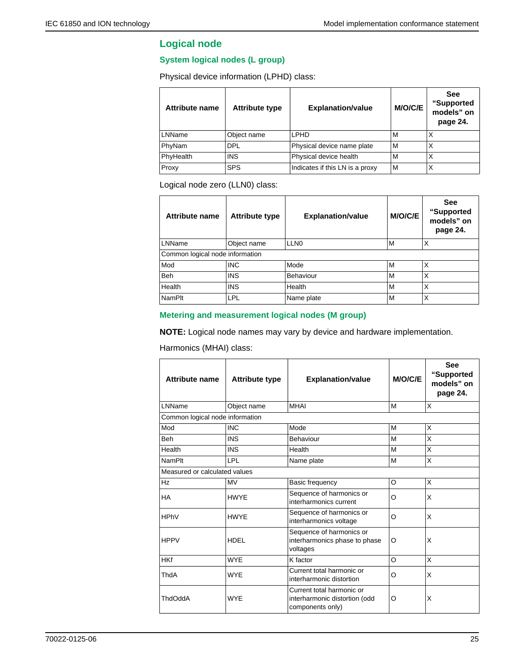## **Logical node**

#### **System logical nodes (L group)**

Physical device information (LPHD) class:

| <b>Attribute name</b> | <b>Attribute type</b> | <b>Explanation/value</b>        | <b>M/O/C/E</b> | <b>See</b><br>"Supported<br>models" on<br>page 24. |
|-----------------------|-----------------------|---------------------------------|----------------|----------------------------------------------------|
| LNName                | Object name           | LPHD                            | М              | X                                                  |
| PhyNam                | DPL                   | Physical device name plate      | M              | X                                                  |
| PhyHealth             | <b>INS</b>            | Physical device health          | M              | X                                                  |
| Proxy                 | <b>SPS</b>            | Indicates if this LN is a proxy | M              | Χ                                                  |

Logical node zero (LLN0) class:

| Attribute name                  | <b>Attribute type</b> | <b>Explanation/value</b> | M/O/C/E | <b>See</b><br>"Supported<br>models" on<br>page 24. |
|---------------------------------|-----------------------|--------------------------|---------|----------------------------------------------------|
| LNName                          | Object name           | LLN <sub>0</sub>         | м       | X                                                  |
| Common logical node information |                       |                          |         |                                                    |
| Mod                             | <b>INC</b>            | Mode                     | M       | X                                                  |
| <b>Beh</b>                      | <b>INS</b>            | <b>Behaviour</b>         | M       | X                                                  |
| Health                          | <b>INS</b>            | Health                   | M       | X                                                  |
| NamPlt                          | LPL                   | Name plate               | M       | X                                                  |

#### **Metering and measurement logical nodes (M group)**

**NOTE:** Logical node names may vary by device and hardware implementation.

Harmonics (MHAI) class:

| Attribute name                  | <b>Attribute type</b> | <b>Explanation/value</b>                                                       | <b>M/O/C/E</b> | <b>See</b><br>"Supported<br>models" on<br>page 24. |
|---------------------------------|-----------------------|--------------------------------------------------------------------------------|----------------|----------------------------------------------------|
| I NName                         | Object name           | <b>MHAI</b>                                                                    | M              | X                                                  |
| Common logical node information |                       |                                                                                |                |                                                    |
| Mod                             | <b>INC</b>            | Mode                                                                           | M              | X                                                  |
| <b>Beh</b>                      | <b>INS</b>            | Behaviour                                                                      | M              | X                                                  |
| Health                          | <b>INS</b>            | Health                                                                         | M              | X                                                  |
| <b>NamPlt</b>                   | <b>LPL</b>            | Name plate                                                                     | M              | X                                                  |
| Measured or calculated values   |                       |                                                                                |                |                                                    |
| Hz                              | <b>MV</b>             | Basic frequency                                                                | O              | X                                                  |
| <b>HA</b>                       | <b>HWYE</b>           | Sequence of harmonics or<br>interharmonics current                             | O              | X                                                  |
| <b>HPhV</b>                     | <b>HWYE</b>           | Sequence of harmonics or<br>interharmonics voltage                             | O              | X                                                  |
| <b>HPPV</b>                     | <b>HDEL</b>           | Sequence of harmonics or<br>interharmonics phase to phase<br>voltages          | O              | X                                                  |
| <b>HKf</b>                      | <b>WYE</b>            | K factor                                                                       | O              | X                                                  |
| ThdA                            | <b>WYE</b>            | Current total harmonic or<br>interharmonic distortion                          | O              | X                                                  |
| <b>ThdOddA</b>                  | <b>WYF</b>            | Current total harmonic or<br>interharmonic distortion (odd<br>components only) | O              | X                                                  |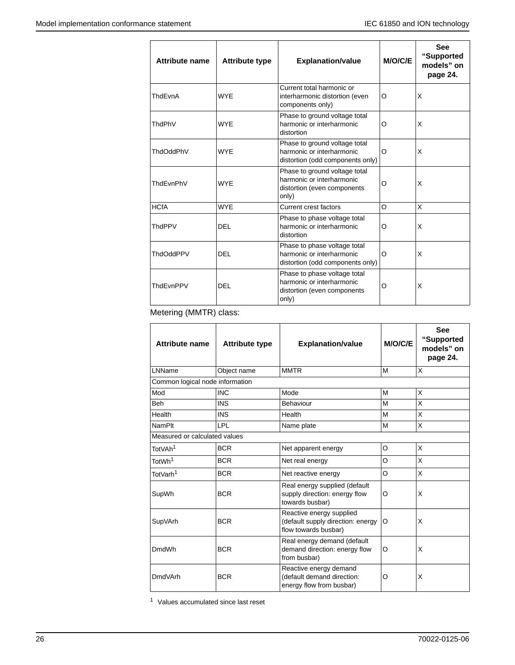| <b>Attribute name</b> | <b>Attribute type</b> | <b>Explanation/value</b>                                                                           | <b>M/O/C/E</b> | <b>See</b><br>"Supported<br>models" on<br>page 24. |
|-----------------------|-----------------------|----------------------------------------------------------------------------------------------------|----------------|----------------------------------------------------|
| ThdEvnA               | <b>WYE</b>            | Current total harmonic or<br>interharmonic distortion (even<br>components only)                    | O              | X                                                  |
| ThdPhV                | <b>WYE</b>            | Phase to ground voltage total<br>harmonic or interharmonic<br>distortion                           | O              | X                                                  |
| ThdOddPhV             | <b>WYE</b>            | Phase to ground voltage total<br>harmonic or interharmonic<br>distortion (odd components only)     | O              | X                                                  |
| ThdFvnPhV             | <b>WYF</b>            | Phase to ground voltage total<br>harmonic or interharmonic<br>distortion (even components<br>only) | O              | X                                                  |
| <b>HCfA</b>           | <b>WYE</b>            | Current crest factors                                                                              | $\Omega$       | X                                                  |
| <b>ThdPPV</b>         | DEL                   | Phase to phase voltage total<br>harmonic or interharmonic<br>distortion                            | O              | X                                                  |
| ThdOddPPV             | DEL                   | Phase to phase voltage total<br>harmonic or interharmonic<br>distortion (odd components only)      | $\Omega$       | X                                                  |
| ThdEvnPPV             | DEL                   | Phase to phase voltage total<br>harmonic or interharmonic<br>distortion (even components<br>only)  | O              | X                                                  |

Metering (MMTR) class:

| Attribute name                  | <b>Attribute type</b> | <b>Explanation/value</b>                                                              | <b>M/O/C/E</b> | <b>See</b><br>"Supported<br>models" on<br>page 24. |
|---------------------------------|-----------------------|---------------------------------------------------------------------------------------|----------------|----------------------------------------------------|
| LNName                          | Object name           | <b>MMTR</b>                                                                           | M              | X                                                  |
| Common logical node information |                       |                                                                                       |                |                                                    |
| Mod                             | <b>INC</b>            | Mode                                                                                  | M              | X                                                  |
| <b>Beh</b>                      | <b>INS</b>            | Behaviour                                                                             | M              | X                                                  |
| Health                          | <b>INS</b>            | Health                                                                                | M              | X                                                  |
| <b>NamPlt</b>                   | LPL                   | Name plate                                                                            | M              | X                                                  |
| Measured or calculated values   |                       |                                                                                       |                |                                                    |
| TotVAh <sup>1</sup>             | <b>BCR</b>            | Net apparent energy                                                                   | O              | X                                                  |
| TotWh <sup>1</sup>              | <b>BCR</b>            | Net real energy                                                                       | O              | X                                                  |
| TotVarh <sup>1</sup>            | <b>BCR</b>            | Net reactive energy                                                                   | O              | X                                                  |
| SupWh                           | <b>BCR</b>            | Real energy supplied (default<br>supply direction: energy flow<br>towards busbar)     | O              | X                                                  |
| SupVArh                         | <b>BCR</b>            | Reactive energy supplied<br>(default supply direction: energy<br>flow towards busbar) | O              | X                                                  |
| DmdWh                           | <b>BCR</b>            | Real energy demand (default<br>demand direction: energy flow<br>from busbar)          | O              | X                                                  |
| <b>DmdVArh</b>                  | <b>BCR</b>            | Reactive energy demand<br>(default demand direction:<br>energy flow from busbar)      | O              | X                                                  |

<sup>1</sup> Values accumulated since last reset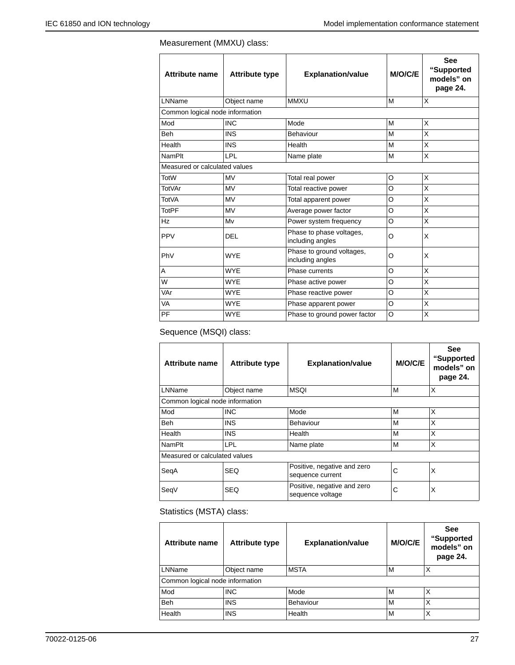## Measurement (MMXU) class:

| <b>Attribute name</b>           | <b>Attribute type</b> | <b>Explanation/value</b>                      | <b>M/O/C/E</b> | <b>See</b><br>"Supported<br>models" on<br>page 24. |
|---------------------------------|-----------------------|-----------------------------------------------|----------------|----------------------------------------------------|
| LNName                          | Object name           | <b>MMXU</b>                                   | M              | X                                                  |
| Common logical node information |                       |                                               |                |                                                    |
| Mod                             | <b>INC</b>            | Mode                                          | M              | X                                                  |
| <b>Beh</b>                      | <b>INS</b>            | Behaviour                                     | M              | X                                                  |
| Health                          | <b>INS</b>            | Health                                        | M              | X                                                  |
| <b>NamPlt</b>                   | <b>LPL</b>            | Name plate                                    | M              | X                                                  |
| Measured or calculated values   |                       |                                               |                |                                                    |
| <b>TotW</b>                     | <b>MV</b>             | Total real power                              | O              | X                                                  |
| <b>TotVAr</b>                   | <b>MV</b>             | Total reactive power                          | O              | X                                                  |
| <b>TotVA</b>                    | <b>MV</b>             | Total apparent power                          | O              | X                                                  |
| <b>TotPF</b>                    | <b>MV</b>             | Average power factor                          | $\Omega$       | X                                                  |
| Hz                              | Mv                    | Power system frequency                        | O              | X                                                  |
| PPV                             | DEL                   | Phase to phase voltages,<br>including angles  | O              | X                                                  |
| PhV                             | <b>WYE</b>            | Phase to ground voltages,<br>including angles | O              | X                                                  |
| A                               | <b>WYE</b>            | Phase currents                                | O              | X                                                  |
| W                               | <b>WYE</b>            | Phase active power                            | O              | X                                                  |
| VAr                             | <b>WYE</b>            | Phase reactive power                          | O              | X                                                  |
| VA                              | <b>WYE</b>            | Phase apparent power                          | O              | X                                                  |
| PF                              | <b>WYE</b>            | Phase to ground power factor                  | $\circ$        | X                                                  |

Sequence (MSQI) class:

| <b>Attribute name</b>           | <b>Attribute type</b> | <b>Explanation/value</b>                        | M/O/C/E | <b>See</b><br>"Supported<br>models" on<br>page 24. |  |
|---------------------------------|-----------------------|-------------------------------------------------|---------|----------------------------------------------------|--|
| LNName                          | Object name           | <b>MSQI</b>                                     | м       | X                                                  |  |
| Common logical node information |                       |                                                 |         |                                                    |  |
| Mod                             | <b>INC</b>            | Mode                                            | М       | X                                                  |  |
| <b>Beh</b>                      | <b>INS</b>            | Behaviour                                       | M       | X                                                  |  |
| Health                          | <b>INS</b>            | Health                                          | M       | X                                                  |  |
| <b>NamPlt</b>                   | LPL                   | Name plate                                      | M       | X                                                  |  |
| Measured or calculated values   |                       |                                                 |         |                                                    |  |
| SeqA                            | <b>SEQ</b>            | Positive, negative and zero<br>sequence current | C       | X                                                  |  |
| SeqV                            | <b>SEQ</b>            | Positive, negative and zero<br>sequence voltage | C       | X                                                  |  |

Statistics (MSTA) class:

| <b>Attribute name</b>           | <b>Attribute type</b> | <b>Explanation/value</b> | <b>M/O/C/E</b> | <b>See</b><br>"Supported<br>models" on<br>page 24. |
|---------------------------------|-----------------------|--------------------------|----------------|----------------------------------------------------|
| LNName                          | Object name           | <b>MSTA</b>              | M              | Χ                                                  |
| Common logical node information |                       |                          |                |                                                    |
| Mod                             | <b>INC</b>            | Mode                     | M              | Χ                                                  |
| Beh                             | <b>INS</b>            | <b>Behaviour</b>         | М              | Χ                                                  |
| Health                          | <b>INS</b>            | Health                   | M              | Χ                                                  |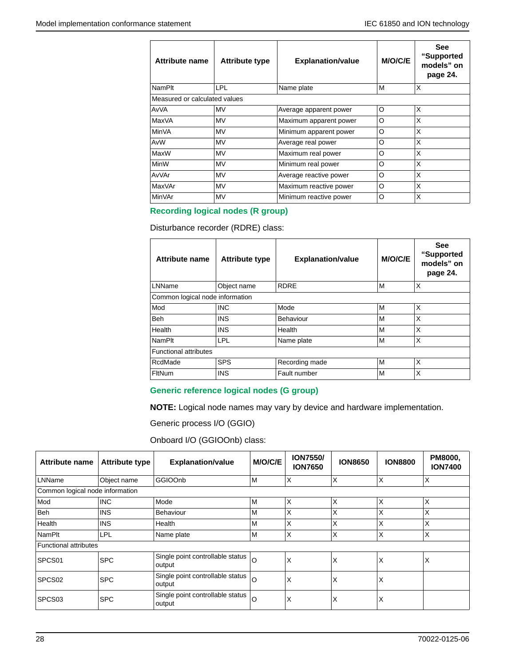| <b>Attribute name</b>         | <b>Attribute type</b> | <b>Explanation/value</b> | M/O/C/E | <b>See</b><br>"Supported<br>models" on<br>page 24. |
|-------------------------------|-----------------------|--------------------------|---------|----------------------------------------------------|
| <b>NamPlt</b>                 | LPL                   | Name plate               | м       | X                                                  |
| Measured or calculated values |                       |                          |         |                                                    |
| AvVA                          | MV                    | Average apparent power   | O       | X                                                  |
| MaxVA                         | MV                    | Maximum apparent power   | O       | X                                                  |
| <b>MinVA</b>                  | MV                    | Minimum apparent power   | O       | X                                                  |
| AvW                           | <b>MV</b>             | Average real power       | O       | X                                                  |
| MaxW                          | <b>MV</b>             | Maximum real power       | O       | X                                                  |
| <b>MinW</b>                   | <b>MV</b>             | Minimum real power       | O       | X                                                  |
| AvVAr                         | <b>MV</b>             | Average reactive power   | O       | X                                                  |
| <b>MaxVAr</b>                 | MV                    | Maximum reactive power   | O       | X                                                  |
| MinVAr                        | MV                    | Minimum reactive power   | O       | X                                                  |

## **Recording logical nodes (R group)**

Disturbance recorder (RDRE) class:

| <b>Attribute name</b>           | <b>Attribute type</b> | <b>Explanation/value</b> | <b>M/O/C/E</b> | <b>See</b><br>"Supported<br>models" on<br>page 24. |  |  |
|---------------------------------|-----------------------|--------------------------|----------------|----------------------------------------------------|--|--|
| LNName                          | Object name           | <b>RDRE</b>              | M              | X                                                  |  |  |
| Common logical node information |                       |                          |                |                                                    |  |  |
| Mod                             | <b>INC</b>            | Mode                     | M              | X                                                  |  |  |
| <b>Beh</b>                      | <b>INS</b>            | Behaviour                | M              | X                                                  |  |  |
| Health                          | <b>INS</b>            | Health                   | M              | X                                                  |  |  |
| <b>NamPlt</b>                   | <b>LPL</b>            | Name plate               | M              | X                                                  |  |  |
| <b>Functional attributes</b>    |                       |                          |                |                                                    |  |  |
| RcdMade                         | <b>SPS</b>            | Recording made           | M              | X                                                  |  |  |
| FltNum                          | <b>INS</b>            | Fault number             | M              | X                                                  |  |  |

### **Generic reference logical nodes (G group)**

**NOTE:** Logical node names may vary by device and hardware implementation.

Generic process I/O (GGIO)

Onboard I/O (GGIOOnb) class:

| Attribute name                  | <b>Attribute type</b> | <b>Explanation/value</b>                   | M/O/C/E | <b>ION7550/</b><br><b>ION7650</b> | <b>ION8650</b> | <b>ION8800</b> | PM8000,<br><b>ION7400</b> |
|---------------------------------|-----------------------|--------------------------------------------|---------|-----------------------------------|----------------|----------------|---------------------------|
| LNName                          | Object name           | GGIOOnb                                    | M       | X                                 | ΙX             | ΙX             | ΙX                        |
| Common logical node information |                       |                                            |         |                                   |                |                |                           |
| Mod                             | <b>INC</b>            | Mode                                       | M       | X                                 | ΙX             | X              | ΙX                        |
| Beh                             | <b>INS</b>            | Behaviour                                  | M       | Χ                                 | X              | X              | X                         |
| Health                          | <b>INS</b>            | Health                                     | M       | X                                 | X              | X              | X                         |
| NamPlt                          | <b>LPL</b>            | Name plate                                 | M       | Χ                                 | ΙX             | X              | X                         |
| Functional attributes           |                       |                                            |         |                                   |                |                |                           |
| SPCS <sub>01</sub>              | <b>SPC</b>            | Single point controllable status<br>output | O       | Χ                                 | X              | X              | X                         |
| SPCS <sub>02</sub>              | <b>SPC</b>            | Single point controllable status<br>output | O       | X                                 | X              | X              |                           |
| SPCS <sub>03</sub>              | <b>SPC</b>            | Single point controllable status<br>output | O       | X                                 | ΙX             | X              |                           |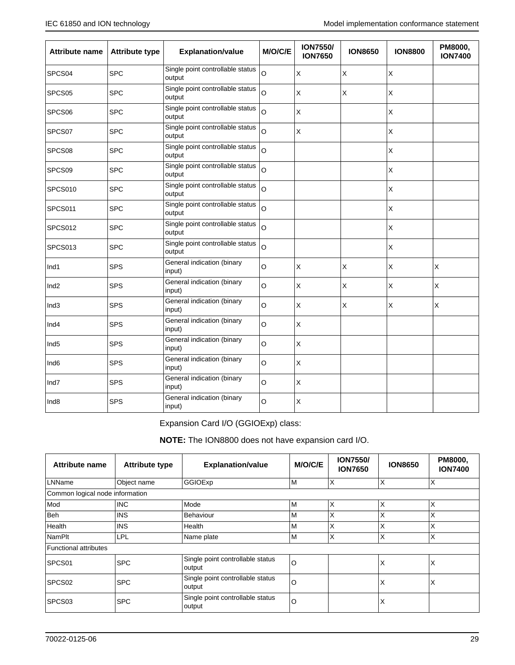| <b>Attribute name</b> | <b>Attribute type</b> | <b>Explanation/value</b>                   | M/O/C/E | <b>ION7550/</b><br><b>ION7650</b> | <b>ION8650</b> | <b>ION8800</b> | PM8000,<br><b>ION7400</b> |
|-----------------------|-----------------------|--------------------------------------------|---------|-----------------------------------|----------------|----------------|---------------------------|
| SPCS04                | <b>SPC</b>            | Single point controllable status<br>output | O       | X                                 | $\mathsf X$    | X              |                           |
| SPCS05                | <b>SPC</b>            | Single point controllable status<br>output | O       | X                                 | $\mathsf X$    | X              |                           |
| SPCS06                | <b>SPC</b>            | Single point controllable status<br>output | O       | Χ                                 |                | X              |                           |
| SPCS07                | <b>SPC</b>            | Single point controllable status<br>output | $\circ$ | Χ                                 |                | X              |                           |
| SPCS08                | <b>SPC</b>            | Single point controllable status<br>output | O       |                                   |                | X              |                           |
| SPCS09                | <b>SPC</b>            | Single point controllable status<br>output | Ō       |                                   |                | X              |                           |
| SPCS010               | <b>SPC</b>            | Single point controllable status<br>output | $\circ$ |                                   |                | X              |                           |
| SPCS011               | <b>SPC</b>            | Single point controllable status<br>output | $\circ$ |                                   |                | Χ              |                           |
| SPCS012               | <b>SPC</b>            | Single point controllable status<br>output | O       |                                   |                | X              |                           |
| SPCS013               | <b>SPC</b>            | Single point controllable status<br>output | O       |                                   |                | X              |                           |
| Ind1                  | <b>SPS</b>            | General indication (binary<br>input)       | O       | X                                 | $\mathsf X$    | X              | X                         |
| Ind <sub>2</sub>      | <b>SPS</b>            | General indication (binary<br>input)       | O       | Χ                                 | $\mathsf{X}$   | X              | X                         |
| Ind <sub>3</sub>      | <b>SPS</b>            | General indication (binary<br>input)       | O       | X                                 | $\times$       | X              | X                         |
| Ind4                  | <b>SPS</b>            | General indication (binary<br>input)       | O       | X                                 |                |                |                           |
| Ind <sub>5</sub>      | <b>SPS</b>            | General indication (binary<br>input)       | O       | X                                 |                |                |                           |
| Ind <sub>6</sub>      | <b>SPS</b>            | General indication (binary<br>input)       | O       | X                                 |                |                |                           |
| Ind7                  | <b>SPS</b>            | General indication (binary<br>input)       | O       | $\sf X$                           |                |                |                           |
| Ind <sub>8</sub>      | <b>SPS</b>            | General indication (binary<br>input)       | O       | Χ                                 |                |                |                           |

Expansion Card I/O (GGIOExp) class:

**NOTE:** The ION8800 does not have expansion card I/O.

| Attribute name                  | <b>Attribute type</b> | <b>Explanation/value</b>                   | M/O/C/E | <b>ION7550/</b><br><b>ION7650</b> | <b>ION8650</b> | PM8000,<br><b>ION7400</b> |
|---------------------------------|-----------------------|--------------------------------------------|---------|-----------------------------------|----------------|---------------------------|
| LNName                          | Object name           | GGIOExp                                    | lм      | X                                 | X              | ΙX                        |
| Common logical node information |                       |                                            |         |                                   |                |                           |
| Mod                             | <b>INC</b>            | Mode                                       | ١M      | X                                 | X              | X                         |
| <b>Beh</b>                      | <b>INS</b>            | <b>Behaviour</b>                           | ΙM      | X                                 | X              | X                         |
| Health                          | <b>INS</b>            | Health                                     | ΙM      | X                                 | X              | X                         |
| NamPlt                          | <b>LPL</b>            | Name plate                                 | lм      | X                                 | X              | X                         |
| Functional attributes           |                       |                                            |         |                                   |                |                           |
| SPCS01                          | <b>SPC</b>            | Single point controllable status<br>output | O       |                                   | X              | X                         |
| SPCS <sub>02</sub>              | <b>SPC</b>            | Single point controllable status<br>output | O       |                                   | Χ              | X                         |
| SPCS <sub>03</sub>              | <b>SPC</b>            | Single point controllable status<br>output | O       |                                   | X              |                           |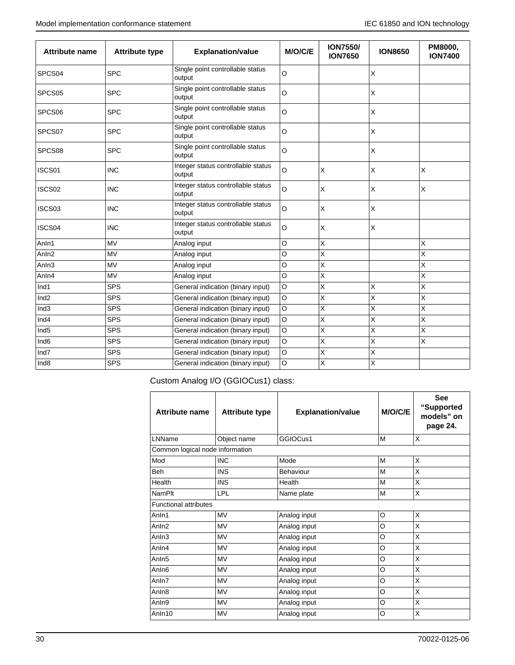| <b>Attribute name</b> | <b>Attribute type</b> | <b>Explanation/value</b>                     | M/O/C/E     | <b>ION7550/</b><br><b>ION7650</b> | <b>ION8650</b> | PM8000,<br><b>ION7400</b> |
|-----------------------|-----------------------|----------------------------------------------|-------------|-----------------------------------|----------------|---------------------------|
| SPCS04                | <b>SPC</b>            | Single point controllable status<br>output   | O           |                                   | X              |                           |
| SPCS <sub>05</sub>    | <b>SPC</b>            | Single point controllable status<br>output   | $\circ$     |                                   | X              |                           |
| SPCS <sub>06</sub>    | <b>SPC</b>            | Single point controllable status<br>output   | O           |                                   | X              |                           |
| SPCS07                | <b>SPC</b>            | Single point controllable status<br>output   | $\circ$     |                                   | X              |                           |
| SPCS <sub>08</sub>    | <b>SPC</b>            | Single point controllable status<br>output   | $\circ$     |                                   | X              |                           |
| ISCS01                | <b>INC</b>            | Integer status controllable status<br>output | O           | X                                 | X              | X                         |
| ISCS02                | <b>INC</b>            | Integer status controllable status<br>output | O           | X                                 | X              | X                         |
| ISCS03                | <b>INC</b>            | Integer status controllable status<br>output | $\circ$     | X                                 | X              |                           |
| ISCS04                | <b>INC</b>            | Integer status controllable status<br>output | O           | X                                 | X              |                           |
| Anln1                 | <b>MV</b>             | Analog input                                 | O           | X                                 |                | X                         |
| Anln <sub>2</sub>     | <b>MV</b>             | Analog input                                 | O           | $\sf X$                           |                | Χ                         |
| Anln <sub>3</sub>     | <b>MV</b>             | Analog input                                 | O           | X                                 |                | X                         |
| Anln4                 | <b>MV</b>             | Analog input                                 | $\circ$     | $\overline{\mathsf{x}}$           |                | X                         |
| Ind1                  | <b>SPS</b>            | General indication (binary input)            | $\circ$     | X                                 | X              | X                         |
| Ind <sub>2</sub>      | <b>SPS</b>            | General indication (binary input)            | O           | $\overline{\mathsf{x}}$           | Χ              | Χ                         |
| Ind <sub>3</sub>      | <b>SPS</b>            | General indication (binary input)            | $\circ$     | X                                 | Χ              | Χ                         |
| Ind4                  | <b>SPS</b>            | General indication (binary input)            | O           | X                                 | X              | X                         |
| Ind <sub>5</sub>      | <b>SPS</b>            | General indication (binary input)            | $\circ$     | X                                 | X              | X                         |
| Ind <sub>6</sub>      | <b>SPS</b>            | General indication (binary input)            | $\circ$     | X                                 | X              | X                         |
| Ind7                  | <b>SPS</b>            | General indication (binary input)            | $\mathsf O$ | X                                 | X              |                           |
| Ind <sub>8</sub>      | <b>SPS</b>            | General indication (binary input)            | $\Omega$    | $\overline{\mathsf{x}}$           | X              |                           |

Custom Analog I/O (GGIOCus1) class:

| <b>Attribute name</b>           | <b>Attribute type</b> | <b>Explanation/value</b> | M/O/C/E | <b>See</b><br>"Supported<br>models" on<br>page 24. |
|---------------------------------|-----------------------|--------------------------|---------|----------------------------------------------------|
| LNName                          | Object name           | GGIOCus1                 | M       | X                                                  |
| Common logical node information |                       |                          |         |                                                    |
| Mod                             | <b>INC</b>            | Mode                     | М       | X                                                  |
| Beh                             | <b>INS</b>            | Behaviour                | M       | X                                                  |
| Health                          | <b>INS</b>            | Health                   | M       | X                                                  |
| <b>NamPlt</b>                   | <b>LPL</b>            | Name plate               | M       | X                                                  |
| <b>Functional attributes</b>    |                       |                          |         |                                                    |
| Anln1                           | <b>MV</b>             | Analog input             | O       | X                                                  |
| Anln <sub>2</sub>               | <b>MV</b>             | Analog input             | O       | X                                                  |
| Anln <sub>3</sub>               | <b>MV</b>             | Analog input             | O       | X                                                  |
| Anln4                           | <b>MV</b>             | Analog input             | O       | X                                                  |
| AnIn <sub>5</sub>               | <b>MV</b>             | Analog input             | O       | X                                                  |
| AnIn <sub>6</sub>               | <b>MV</b>             | Analog input             | O       | X                                                  |
| Anln7                           | <b>MV</b>             | Analog input             | O       | X                                                  |
| Anln <sub>8</sub>               | <b>MV</b>             | Analog input             | O       | X                                                  |
| Anln9                           | <b>MV</b>             | Analog input             | O       | X                                                  |
| AnIn10                          | <b>MV</b>             | Analog input             | O       | X                                                  |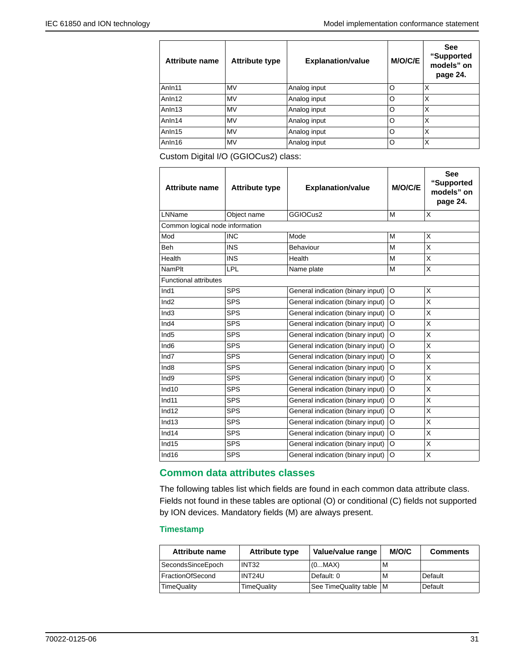$\mathsf{r}$ 

| <b>Attribute name</b> | <b>Attribute type</b> | <b>Explanation/value</b> | M/O/C/E | <b>See</b><br>"Supported<br>models" on<br>page 24. |
|-----------------------|-----------------------|--------------------------|---------|----------------------------------------------------|
| Anln11                | <b>MV</b>             | Analog input             | O       | X                                                  |
| Anln12                | <b>MV</b>             | Analog input             | O       | X                                                  |
| Anln13                | <b>MV</b>             | Analog input             | O       | X                                                  |
| Anln14                | <b>MV</b>             | Analog input             | O       | X                                                  |
| Anln15                | <b>MV</b>             | Analog input             | O       | X                                                  |
| Anln16                | <b>MV</b>             | Analog input             | O       | X                                                  |

Custom Digital I/O (GGIOCus2) class:

| <b>Attribute name</b>           | <b>Attribute type</b> | <b>Explanation/value</b>          | <b>M/O/C/E</b> | <b>See</b><br>"Supported<br>models" on<br>page 24. |
|---------------------------------|-----------------------|-----------------------------------|----------------|----------------------------------------------------|
| LNName                          | Object name           | GGIOCus2                          | M              | X                                                  |
| Common logical node information |                       |                                   |                |                                                    |
| Mod                             | <b>INC</b>            | Mode                              | M              | X                                                  |
| Beh                             | <b>INS</b>            | Behaviour                         | M              | X                                                  |
| Health                          | <b>INS</b>            | Health                            | M              | X                                                  |
| <b>NamPlt</b>                   | LPL                   | Name plate                        | M              | X                                                  |
| <b>Functional attributes</b>    |                       |                                   |                |                                                    |
| Ind1                            | <b>SPS</b>            | General indication (binary input) | O              | X                                                  |
| Ind2                            | <b>SPS</b>            | General indication (binary input) | O              | X                                                  |
| Ind <sub>3</sub>                | <b>SPS</b>            | General indication (binary input) | O              | X                                                  |
| Ind4                            | <b>SPS</b>            | General indication (binary input) | O              | X                                                  |
| Ind <sub>5</sub>                | <b>SPS</b>            | General indication (binary input) | O              | X                                                  |
| Ind <sub>6</sub>                | <b>SPS</b>            | General indication (binary input) | O              | X                                                  |
| Ind7                            | <b>SPS</b>            | General indication (binary input) | O              | X                                                  |
| Ind <sub>8</sub>                | <b>SPS</b>            | General indication (binary input) | O              | X                                                  |
| Ind9                            | <b>SPS</b>            | General indication (binary input) | O              | Χ                                                  |
| Ind10                           | <b>SPS</b>            | General indication (binary input) | O              | X                                                  |
| Ind11                           | <b>SPS</b>            | General indication (binary input) | O              | X                                                  |
| Ind12                           | <b>SPS</b>            | General indication (binary input) | O              | X                                                  |
| Ind13                           | <b>SPS</b>            | General indication (binary input) | O              | X                                                  |
| Ind14                           | <b>SPS</b>            | General indication (binary input) | O              | X                                                  |
| Ind15                           | <b>SPS</b>            | General indication (binary input) | O              | X                                                  |
| Ind16                           | <b>SPS</b>            | General indication (binary input) | O              | X                                                  |

### **Common data attributes classes**

The following tables list which fields are found in each common data attribute class. Fields not found in these tables are optional (O) or conditional (C) fields not supported by ION devices. Mandatory fields (M) are always present.

#### **Timestamp**

| Attribute name    | <b>Attribute type</b> | Value/value range         | M/O/C | <b>Comments</b> |
|-------------------|-----------------------|---------------------------|-------|-----------------|
| SecondsSinceEpoch | INT32                 | (0MAX)                    | M     |                 |
| FractionOfSecond  | INT24U                | Default: 0                | M     | Default         |
| TimeQuality       | <b>TimeQuality</b>    | See TimeQuality table   M |       | Default         |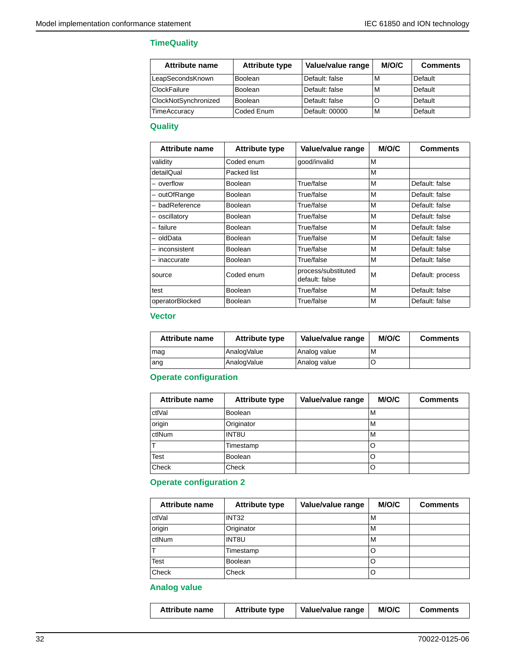#### **TimeQuality**

| Attribute name       | <b>Attribute type</b> | Value/value range | M/O/C | <b>Comments</b> |
|----------------------|-----------------------|-------------------|-------|-----------------|
| LeapSecondsKnown     | Boolean               | Default: false    | M     | Default         |
| ClockFailure         | <b>Boolean</b>        | Default: false    | M     | Default         |
| ClockNotSynchronized | Boolean               | Default: false    |       | Default         |
| <b>TimeAccuracy</b>  | Coded Enum            | Default: 00000    | M     | Default         |

## **Quality**

| Attribute name  | <b>Attribute type</b> | Value/value range                     | M/O/C | <b>Comments</b>  |
|-----------------|-----------------------|---------------------------------------|-------|------------------|
| validity        | Coded enum            | good/invalid                          | M     |                  |
| detailQual      | Packed list           |                                       | M     |                  |
| – overflow      | <b>Boolean</b>        | True/false                            | M     | Default: false   |
| - outOfRange    | Boolean               | True/false                            | M     | Default: false   |
| - badReference  | Boolean               | True/false                            | M     | Default: false   |
| - oscillatory   | Boolean               | True/false                            | M     | Default: false   |
| - failure       | Boolean               | True/false                            | M     | Default: false   |
| - oldData       | Boolean               | True/false                            | M     | Default: false   |
| - inconsistent  | Boolean               | True/false                            | M     | Default: false   |
| - inaccurate    | <b>Boolean</b>        | True/false                            | M     | Default: false   |
| source          | Coded enum            | process/substituted<br>default: false | M     | Default: process |
| test            | <b>Boolean</b>        | True/false                            | M     | Default: false   |
| operatorBlocked | Boolean               | True/false                            | M     | Default: false   |

### **Vector**

| Attribute name | <b>Attribute type</b> | Value/value range | M/O/C | <b>Comments</b> |
|----------------|-----------------------|-------------------|-------|-----------------|
| $\lfloor$ mag  | AnalogValue           | Analog value      | M     |                 |
| ang            | AnalogValue           | Analog value      |       |                 |

## **Operate configuration**

| Attribute name | <b>Attribute type</b> | Value/value range | M/O/C | <b>Comments</b> |
|----------------|-----------------------|-------------------|-------|-----------------|
| ctlVal         | <b>Boolean</b>        |                   | М     |                 |
| origin         | Originator            |                   | М     |                 |
| ctlNum         | INT8U                 |                   | M     |                 |
|                | Timestamp             |                   | O     |                 |
| Test           | Boolean               |                   | O     |                 |
| Check          | Check                 |                   | O     |                 |

## **Operate configuration 2**

| <b>Attribute name</b> | <b>Attribute type</b> | Value/value range | M/O/C | <b>Comments</b> |
|-----------------------|-----------------------|-------------------|-------|-----------------|
| ctlVal                | INT <sub>32</sub>     |                   | M     |                 |
| origin                | Originator            |                   | M     |                 |
| ctlNum                | INT8U                 |                   | M     |                 |
|                       | Timestamp             |                   | O     |                 |
| Test                  | <b>Boolean</b>        |                   | O     |                 |
| Check                 | Check                 |                   | O     |                 |

#### **Analog value**

| <b>Attribute type</b><br><b>Attribute name</b> | Value/value range | <b>M/O/C</b> | <b>Comments</b> |
|------------------------------------------------|-------------------|--------------|-----------------|
|------------------------------------------------|-------------------|--------------|-----------------|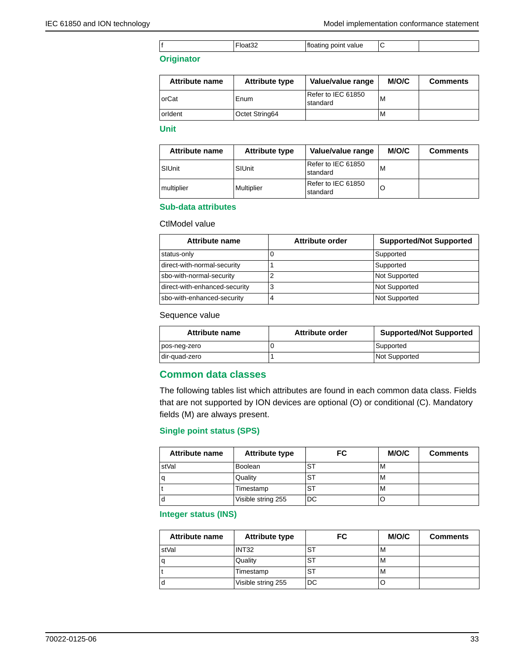|  |  |  | point value<br> |  |  |
|--|--|--|-----------------|--|--|
|--|--|--|-----------------|--|--|

#### **Originator**

| Attribute name | <b>Attribute type</b> | Value/value range              | M/O/C | <b>Comments</b> |
|----------------|-----------------------|--------------------------------|-------|-----------------|
| orCat          | Enum                  | Refer to IEC 61850<br>standard | M     |                 |
| orldent        | Octet String64        |                                | М     |                 |

#### **Unit**

| <b>Attribute name</b> | <b>Attribute type</b> | Value/value range              | M/O/C | <b>Comments</b> |
|-----------------------|-----------------------|--------------------------------|-------|-----------------|
| SIUnit                | SIUnit                | Refer to IEC 61850<br>standard | M     |                 |
| multiplier            | Multiplier            | Refer to IEC 61850<br>standard | O     |                 |

#### **Sub-data attributes**

#### CtlModel value

| Attribute name                | Attribute order | <b>Supported/Not Supported</b> |
|-------------------------------|-----------------|--------------------------------|
| status-only                   |                 | Supported                      |
| direct-with-normal-security   |                 | Supported                      |
| sbo-with-normal-security      |                 | <b>Not Supported</b>           |
| direct-with-enhanced-security | ≏<br>د          | Not Supported                  |
| sbo-with-enhanced-security    |                 | Not Supported                  |

## Sequence value

| Attribute name | Attribute order | <b>Supported/Not Supported</b> |
|----------------|-----------------|--------------------------------|
| pos-neq-zero   |                 | Supported                      |
| dir-quad-zero  |                 | <b>Not Supported</b>           |

### **Common data classes**

The following tables list which attributes are found in each common data class. Fields that are not supported by ION devices are optional (O) or conditional (C). Mandatory fields (M) are always present.

#### **Single point status (SPS)**

| <b>Attribute name</b> | <b>Attribute type</b> | FC. | M/O/C | <b>Comments</b> |
|-----------------------|-----------------------|-----|-------|-----------------|
| stVal                 | Boolean               | ST  | м     |                 |
|                       | Quality               | ST  | M     |                 |
|                       | Timestamp             | ST  | м     |                 |
|                       | Visible string 255    | DC  |       |                 |

#### **Integer status (INS)**

| <b>Attribute name</b> | <b>Attribute type</b> | FC. | M/O/C | <b>Comments</b> |
|-----------------------|-----------------------|-----|-------|-----------------|
| stVal                 | INT <sub>32</sub>     | ST  | м     |                 |
| a                     | Quality               | ST  | M     |                 |
|                       | Timestamp             | ST  | M     |                 |
| d                     | Visible string 255    | DC  |       |                 |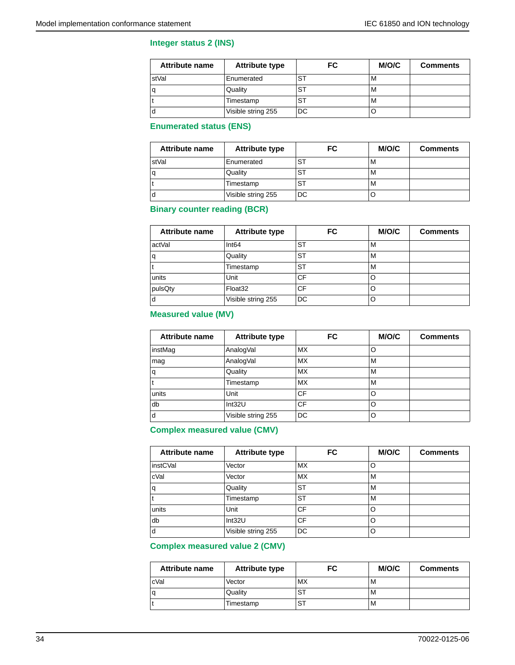#### **Integer status 2 (INS)**

| <b>Attribute name</b> | <b>Attribute type</b> | FC | M/O/C | <b>Comments</b> |
|-----------------------|-----------------------|----|-------|-----------------|
| stVal                 | Enumerated            | SТ | M     |                 |
| a                     | Quality               | ST | M     |                 |
|                       | Timestamp             | ST | м     |                 |
| α                     | Visible string 255    | DC |       |                 |

## **Enumerated status (ENS)**

| <b>Attribute name</b> | <b>Attribute type</b> | FC | M/O/C | <b>Comments</b> |
|-----------------------|-----------------------|----|-------|-----------------|
| stVal                 | Enumerated            | ST | M     |                 |
|                       | Quality               | ST | M     |                 |
|                       | Timestamp             | ST | M     |                 |
|                       | Visible string 255    | DC | ◡     |                 |

#### **Binary counter reading (BCR)**

| <b>Attribute name</b> | <b>Attribute type</b> | FC        | M/O/C | <b>Comments</b> |
|-----------------------|-----------------------|-----------|-------|-----------------|
| actVal                | Int64                 | ST        | M     |                 |
|                       | Quality               | <b>ST</b> | м     |                 |
|                       | Timestamp             | ST        | M     |                 |
| units                 | Unit                  | <b>CF</b> | O     |                 |
| pulsQty               | Float <sub>32</sub>   | CF        | O     |                 |
| d                     | Visible string 255    | DC        | O     |                 |

#### **Measured value (MV)**

| <b>Attribute name</b> | <b>Attribute type</b> | FC        | M/O/C | <b>Comments</b> |
|-----------------------|-----------------------|-----------|-------|-----------------|
| instMag               | AnalogVal             | MX.       |       |                 |
| mag                   | AnalogVal             | <b>MX</b> | M     |                 |
| q                     | Quality               | <b>MX</b> | M     |                 |
|                       | Timestamp             | <b>MX</b> | M     |                 |
| units                 | Unit                  | CF        | O     |                 |
| db                    | Int32U                | CF        | O     |                 |
| d                     | Visible string 255    | DC        | O     |                 |

## **Complex measured value (CMV)**

| Attribute name | <b>Attribute type</b> | FC        | M/O/C | <b>Comments</b> |
|----------------|-----------------------|-----------|-------|-----------------|
| instCVal       | Vector                | МX        | O     |                 |
| cVal           | Vector                | <b>MX</b> | M     |                 |
| q              | Quality               | <b>ST</b> | M     |                 |
|                | Timestamp             | <b>ST</b> | M     |                 |
| units          | Unit                  | CF        | O     |                 |
| db             | Int32U                | <b>CF</b> | O     |                 |
| d              | Visible string 255    | DC        | O     |                 |

## **Complex measured value 2 (CMV)**

| <b>Attribute name</b> | <b>Attribute type</b> | FC        | M/O/C | <b>Comments</b> |
|-----------------------|-----------------------|-----------|-------|-----------------|
| cVal                  | Vector                | <b>MX</b> | M     |                 |
| q                     | Quality               | SТ        | M     |                 |
|                       | Timestamp             | ST        | M     |                 |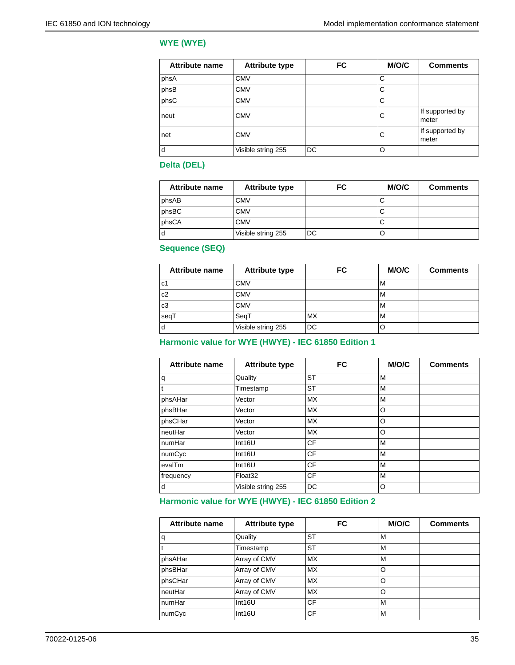#### **WYE (WYE)**

| <b>Attribute name</b> | <b>Attribute type</b> | <b>FC</b> | M/O/C | <b>Comments</b>          |
|-----------------------|-----------------------|-----------|-------|--------------------------|
| phsA                  | <b>CMV</b>            |           | С     |                          |
| phsB                  | <b>CMV</b>            |           | С     |                          |
| phsC                  | <b>CMV</b>            |           | C     |                          |
| neut                  | <b>CMV</b>            |           | С     | If supported by<br>meter |
| net                   | <b>CMV</b>            |           | С     | If supported by<br>meter |
| d                     | Visible string 255    | DC        | O     |                          |

#### **Delta (DEL)**

| <b>Attribute name</b> | <b>Attribute type</b> | FC | M/O/C | <b>Comments</b> |
|-----------------------|-----------------------|----|-------|-----------------|
| phsAB                 | CMV                   |    | ◡     |                 |
| phsBC                 | CMV                   |    | ◡     |                 |
| phsCA                 | CMV                   |    | ◡     |                 |
| d                     | Visible string 255    | DC |       |                 |

**Sequence (SEQ)**

| <b>Attribute name</b> | <b>Attribute type</b> | FC | M/O/C | <b>Comments</b> |
|-----------------------|-----------------------|----|-------|-----------------|
| c1                    | <b>CMV</b>            |    | M     |                 |
| c <sub>2</sub>        | <b>CMV</b>            |    | M     |                 |
| c3                    | <b>CMV</b>            |    | M     |                 |
| seqT                  | SeqT                  | MX | M     |                 |
| l d                   | Visible string 255    | DC |       |                 |

### **Harmonic value for WYE (HWYE) - IEC 61850 Edition 1**

| <b>Attribute name</b> | <b>Attribute type</b> | <b>FC</b> | <b>M/O/C</b> | <b>Comments</b> |
|-----------------------|-----------------------|-----------|--------------|-----------------|
| $\mathsf{q}$          | Quality               | <b>ST</b> | M            |                 |
| t                     | Timestamp             | <b>ST</b> | M            |                 |
| phsAHar               | Vector                | <b>MX</b> | M            |                 |
| phsBHar               | Vector                | <b>MX</b> | O            |                 |
| phsCHar               | Vector                | <b>MX</b> | O            |                 |
| neutHar               | Vector                | <b>MX</b> | O            |                 |
| ∣numHar               | Int16U                | CF        | M            |                 |
| numCyc                | Int16U                | CF        | M            |                 |
| evalTm                | Int16U                | CF        | M            |                 |
| frequency             | Float <sub>32</sub>   | CF        | M            |                 |
| d                     | Visible string 255    | DC        | O            |                 |

## **Harmonic value for WYE (HWYE) - IEC 61850 Edition 2**

| Attribute name | <b>Attribute type</b> | FC        | M/O/C | <b>Comments</b> |
|----------------|-----------------------|-----------|-------|-----------------|
| q              | Quality               | <b>ST</b> | M     |                 |
|                | Timestamp             | <b>ST</b> | M     |                 |
| phsAHar        | Array of CMV          | <b>MX</b> | M     |                 |
| phsBHar        | Array of CMV          | <b>MX</b> | O     |                 |
| phsCHar        | Array of CMV          | МX        | O     |                 |
| neutHar        | Array of CMV          | МX        | O     |                 |
| numHar         | Int16U                | CF        | M     |                 |
| numCyc         | Int16U                | CF        | M     |                 |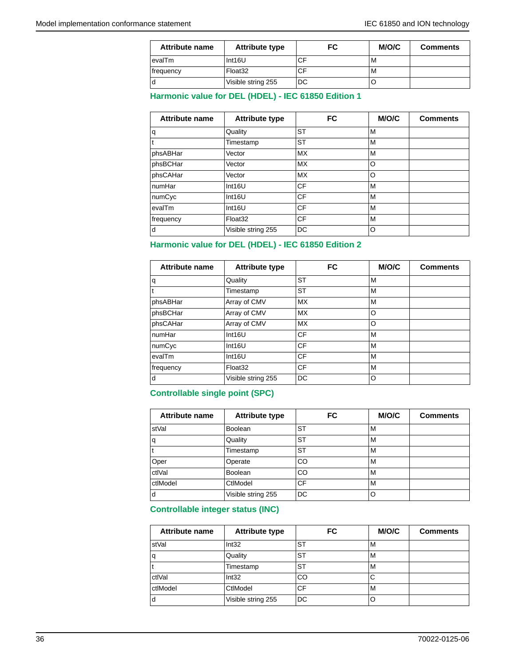| Attribute name | <b>Attribute type</b> | FC | M/O/C | <b>Comments</b> |
|----------------|-----------------------|----|-------|-----------------|
| evalTm         | Int16U                |    | М     |                 |
| frequency      | Float <sub>32</sub>   |    | М     |                 |
| d              | Visible string 255    | DC |       |                 |

#### **Harmonic value for DEL (HDEL) - IEC 61850 Edition 1**

| <b>Attribute name</b> | <b>Attribute type</b> | <b>FC</b> | M/O/C | <b>Comments</b> |
|-----------------------|-----------------------|-----------|-------|-----------------|
| ١q                    | Quality               | <b>ST</b> | М     |                 |
| l t                   | Timestamp             | <b>ST</b> | M     |                 |
| phsABHar              | Vector                | <b>MX</b> | M     |                 |
| phsBCHar              | Vector                | <b>MX</b> | O     |                 |
| phsCAHar              | Vector                | <b>MX</b> | O     |                 |
| ∣numHar               | Int16U                | СF        | M     |                 |
| numCyc                | Int16U                | <b>CF</b> | М     |                 |
| levalTm               | Int16U                | СF        | М     |                 |
| frequency             | Float <sub>32</sub>   | CF        | М     |                 |
| d                     | Visible string 255    | DC        | O     |                 |

#### **Harmonic value for DEL (HDEL) - IEC 61850 Edition 2**

| Attribute name | <b>Attribute type</b> | <b>FC</b> | <b>M/O/C</b> | <b>Comments</b> |
|----------------|-----------------------|-----------|--------------|-----------------|
| q              | Quality               | <b>ST</b> | M            |                 |
| t              | Timestamp             | <b>ST</b> | M            |                 |
| phsABHar       | Array of CMV          | <b>MX</b> | M            |                 |
| phsBCHar       | Array of CMV          | <b>MX</b> | O            |                 |
| phsCAHar       | Array of CMV          | <b>MX</b> | O            |                 |
| numHar         | Int16U                | CF        | M            |                 |
| numCyc         | Int16U                | <b>CF</b> | M            |                 |
| evalTm         | Int16U                | <b>CF</b> | M            |                 |
| frequency      | Float <sub>32</sub>   | CF        | M            |                 |
| d              | Visible string 255    | DC        | O            |                 |

#### **Controllable single point (SPC)**

| <b>Attribute name</b> | <b>Attribute type</b> | FC        | M/O/C | <b>Comments</b> |
|-----------------------|-----------------------|-----------|-------|-----------------|
| stVal                 | <b>Boolean</b>        | <b>ST</b> | м     |                 |
| q                     | Quality               | <b>ST</b> | м     |                 |
|                       | Timestamp             | <b>ST</b> | M     |                 |
| Oper                  | Operate               | <b>CO</b> | M     |                 |
| ctlVal                | <b>Boolean</b>        | <b>CO</b> | M     |                 |
| ctlModel              | CtlModel              | <b>CF</b> | M     |                 |
| d                     | Visible string 255    | DC        | O     |                 |

## **Controllable integer status (INC)**

| <b>Attribute name</b> | <b>Attribute type</b> | FC | M/O/C | <b>Comments</b> |
|-----------------------|-----------------------|----|-------|-----------------|
| stVal                 | Int32                 | ST | M     |                 |
| ۱q                    | Quality               | ST | M     |                 |
|                       | Timestamp             | SТ | M     |                 |
| ctlVal                | Int32                 | CO | С     |                 |
| ctlModel              | CtlModel              | CF | M     |                 |
| ۱d                    | Visible string 255    | DC | O     |                 |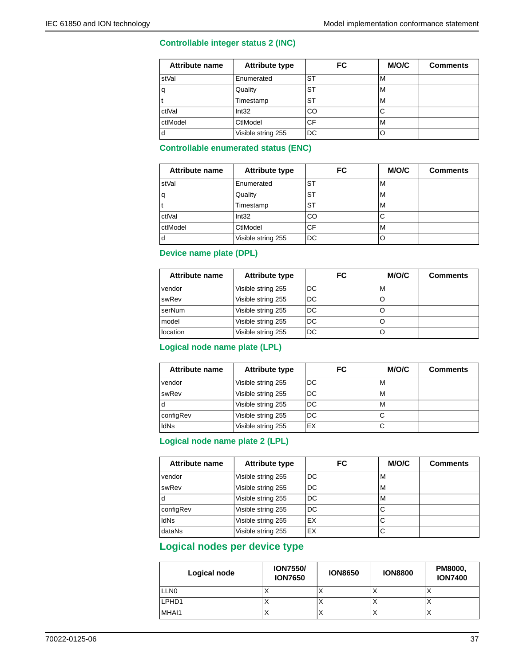#### **Controllable integer status 2 (INC)**

| <b>Attribute name</b> | <b>Attribute type</b> | FC        | M/O/C | <b>Comments</b> |
|-----------------------|-----------------------|-----------|-------|-----------------|
| stVal                 | Enumerated            | <b>ST</b> | M     |                 |
| q                     | Quality               | <b>ST</b> | M     |                 |
|                       | Timestamp             | <b>ST</b> | M     |                 |
| ctlVal                | Int32                 | CO        | С     |                 |
| ctlModel              | CtlModel              | <b>CF</b> | M     |                 |
| d                     | Visible string 255    | DC        |       |                 |

### **Controllable enumerated status (ENC)**

| <b>Attribute name</b> | <b>Attribute type</b> | FC        | M/O/C | <b>Comments</b> |
|-----------------------|-----------------------|-----------|-------|-----------------|
| stVal                 | Enumerated            | ST        | M     |                 |
| q                     | Quality               | <b>ST</b> | M     |                 |
|                       | Timestamp             | <b>ST</b> | M     |                 |
| ctlVal                | Int32                 | CO        | С     |                 |
| ctlModel              | CtlModel              | <b>CF</b> | M     |                 |
| d                     | Visible string 255    | DC        |       |                 |

#### **Device name plate (DPL)**

| <b>Attribute name</b> | <b>Attribute type</b> | FC  | M/O/C | <b>Comments</b> |
|-----------------------|-----------------------|-----|-------|-----------------|
| vendor                | Visible string 255    | DC  | M     |                 |
| swRev                 | Visible string 255    | DC. | O     |                 |
| serNum                | Visible string 255    | DC. | O     |                 |
| model                 | Visible string 255    | DC. | O     |                 |
| location              | Visible string 255    | DC  |       |                 |

## **Logical node name plate (LPL)**

| <b>Attribute name</b> | <b>Attribute type</b> | FC | M/O/C | <b>Comments</b> |
|-----------------------|-----------------------|----|-------|-----------------|
| vendor                | Visible string 255    | DC | м     |                 |
| swRev                 | Visible string 255    | DC | м     |                 |
| d                     | Visible string 255    | DC | м     |                 |
| configRev             | Visible string 255    | DC | C     |                 |
| <b>IdNs</b>           | Visible string 255    | EX | С     |                 |

#### **Logical node name plate 2 (LPL)**

| <b>Attribute name</b> | <b>Attribute type</b> | FC  | M/O/C | <b>Comments</b> |
|-----------------------|-----------------------|-----|-------|-----------------|
| vendor                | Visible string 255    | DC. | M     |                 |
| swRev                 | Visible string 255    | DC  | M     |                 |
| d                     | Visible string 255    | DC  | M     |                 |
| configRev             | Visible string 255    | DC  | С     |                 |
| <b>IdNs</b>           | Visible string 255    | EX  | С     |                 |
| dataNs                | Visible string 255    | EX  | С     |                 |

## **Logical nodes per device type**

| Logical node     | <b>ION7550/</b><br><b>ION7650</b> | <b>ION8650</b> | <b>ION8800</b> | <b>PM8000,</b><br><b>ION7400</b> |
|------------------|-----------------------------------|----------------|----------------|----------------------------------|
| LLN <sub>0</sub> |                                   | ↗              |                | $\lambda$                        |
| LPHD1            |                                   | $\lambda$      | ↗              | ◠                                |
| MHAI1            |                                   | ↗              |                | ◠                                |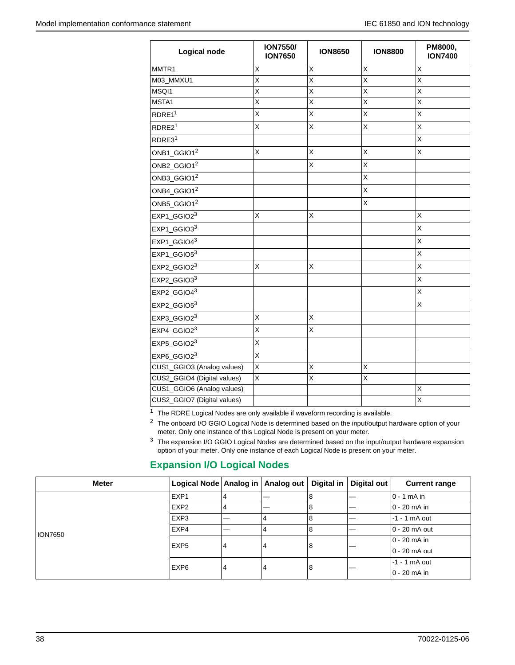| <b>Logical node</b>         | <b>ION7550/</b><br><b>ION7650</b> | <b>ION8650</b>          | <b>ION8800</b>          | PM8000,<br><b>ION7400</b> |
|-----------------------------|-----------------------------------|-------------------------|-------------------------|---------------------------|
| MMTR1                       | Χ                                 | X                       | X                       | X                         |
| M03_MMXU1                   | X                                 | Χ                       | X                       | X                         |
| MSQI1                       | $\overline{\mathsf{x}}$           | $\overline{\mathsf{x}}$ | $\overline{\mathsf{x}}$ | $\overline{\mathsf{x}}$   |
| MSTA1                       | $\overline{\mathsf{x}}$           | $\overline{\mathsf{x}}$ | $\overline{\mathsf{x}}$ | $\overline{\mathsf{x}}$   |
| RDRE <sub>11</sub>          | Χ                                 | Χ                       | Χ                       | X                         |
| RDRE2 <sup>1</sup>          | Χ                                 | X                       | X                       | Χ                         |
| RDRE31                      |                                   |                         |                         | Χ                         |
| ONB1_GGIO1 <sup>2</sup>     | X                                 | X                       | X                       | X                         |
| $ONB2_GGIO1^2$              |                                   | X                       | X                       |                           |
| ONB3_GGIO1 <sup>2</sup>     |                                   |                         | X                       |                           |
| $ONB4_GGIO1^2$              |                                   |                         | Χ                       |                           |
| ONB5_GGIO1 <sup>2</sup>     |                                   |                         | Χ                       |                           |
| EXP1_GGIO23                 | X                                 | X                       |                         | X                         |
| EXP1_GGIO33                 |                                   |                         |                         | X                         |
| $EXP1_GGIO4^3$              |                                   |                         |                         | X                         |
| EXP1_GGIO53                 |                                   |                         |                         | X                         |
| EXP2_GGIO23                 | X                                 | Χ                       |                         | Χ                         |
| EXP2_GGIO33                 |                                   |                         |                         | X                         |
| EXP2_GGIO43                 |                                   |                         |                         | Χ                         |
| EXP2_GGIO53                 |                                   |                         |                         | X                         |
| EXP3_GGIO23                 | X                                 | Χ                       |                         |                           |
| EXP4_GGIO23                 | X                                 | Χ                       |                         |                           |
| EXP5_GGIO23                 | X                                 |                         |                         |                           |
| EXP6_GGIO23                 | X                                 |                         |                         |                           |
| CUS1_GGIO3 (Analog values)  | $\overline{\mathsf{x}}$           | $\overline{\mathsf{x}}$ | $\overline{\mathsf{x}}$ |                           |
| CUS2_GGIO4 (Digital values) | X                                 | X                       | $\overline{\mathsf{x}}$ |                           |
| CUS1_GGIO6 (Analog values)  |                                   |                         |                         | X                         |
| CUS2_GGIO7 (Digital values) |                                   |                         |                         | X                         |

 $1$  The RDRE Logical Nodes are only available if waveform recording is available.

<sup>2</sup> The onboard I/O GGIO Logical Node is determined based on the input/output hardware option of your meter. Only one instance of this Logical Node is present on your meter.

<sup>3</sup> The expansion I/O GGIO Logical Nodes are determined based on the input/output hardware expansion option of your meter. Only one instance of each Logical Node is present on your meter.

# **Expansion I/O Logical Nodes**

| <b>Meter</b>   | Logical Node Analog in   Analog out |   |   | Digital in | Digital out | <b>Current range</b> |
|----------------|-------------------------------------|---|---|------------|-------------|----------------------|
|                | EXP1                                | 4 |   | 8          |             | ∣0 - 1 mA in         |
|                | EXP <sub>2</sub>                    | 4 | – | 8          |             | $0 - 20$ mA in       |
| <b>ION7650</b> | EXP3                                |   | 4 | 8          |             | $-1 - 1$ mA out      |
|                | EXP4                                |   | 4 | 8          |             | 10 - 20 mA out       |
|                | EXP <sub>5</sub>                    | 4 | 4 | 8          |             | 0 - 20 mA in         |
|                |                                     |   |   |            |             | 10 - 20 mA out       |
|                | EXP <sub>6</sub>                    | 4 | 4 | 8          |             | $-1 - 1$ mA out      |
|                |                                     |   |   |            |             | 10 - 20 mA in        |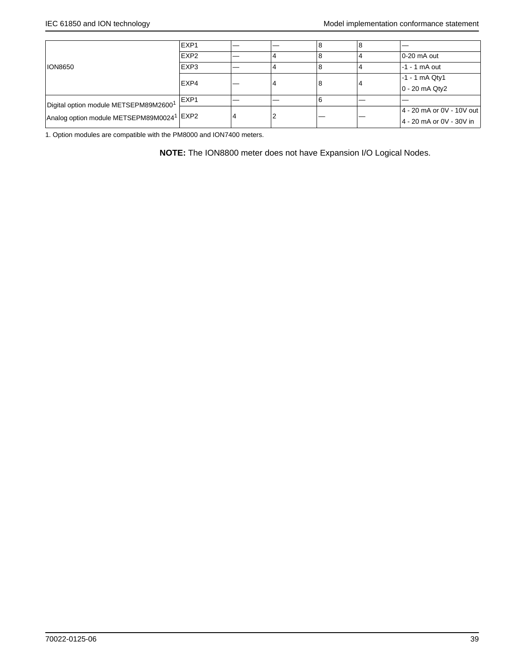|                                                                                                | EXP1             |   | 8 | 8 |                           |
|------------------------------------------------------------------------------------------------|------------------|---|---|---|---------------------------|
|                                                                                                | EXP <sub>2</sub> |   |   |   | 10-20 mA out              |
| <b>ION8650</b>                                                                                 | EXP3             |   |   |   | $-1 - 1$ mA out           |
|                                                                                                | EXP4             |   | 8 |   | $-1 - 1$ mA Qty1          |
|                                                                                                |                  |   |   |   | $0 - 20$ mA Qty2          |
| Digital option module METSEPM89M26001<br>Analog option module METSEPM89M0024 <sup>1</sup> EXP2 | EXP1             |   |   |   |                           |
|                                                                                                |                  |   |   |   | 4 - 20 mA or 0V - 10V out |
|                                                                                                |                  | 4 |   |   | 4 - 20 mA or 0V - 30V in  |

1. Option modules are compatible with the PM8000 and ION7400 meters.

**NOTE:** The ION8800 meter does not have Expansion I/O Logical Nodes.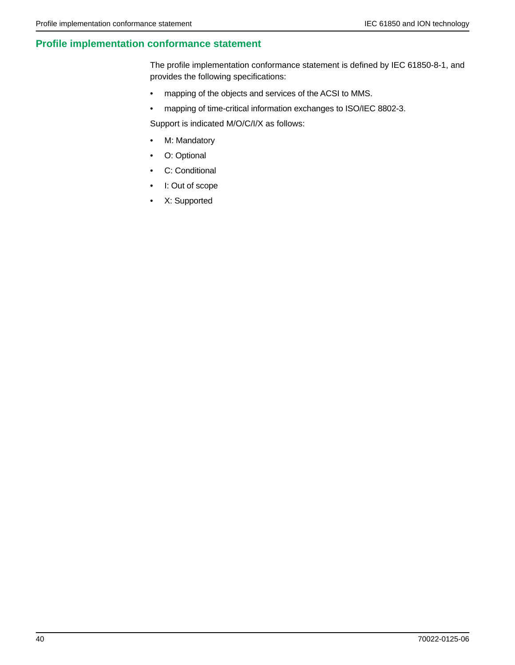## **Profile implementation conformance statement**

The profile implementation conformance statement is defined by IEC 61850-8-1, and provides the following specifications:

- mapping of the objects and services of the ACSI to MMS.
- mapping of time-critical information exchanges to ISO/IEC 8802-3.

Support is indicated M/O/C/I/X as follows:

- M: Mandatory
- O: Optional
- C: Conditional
- I: Out of scope
- X: Supported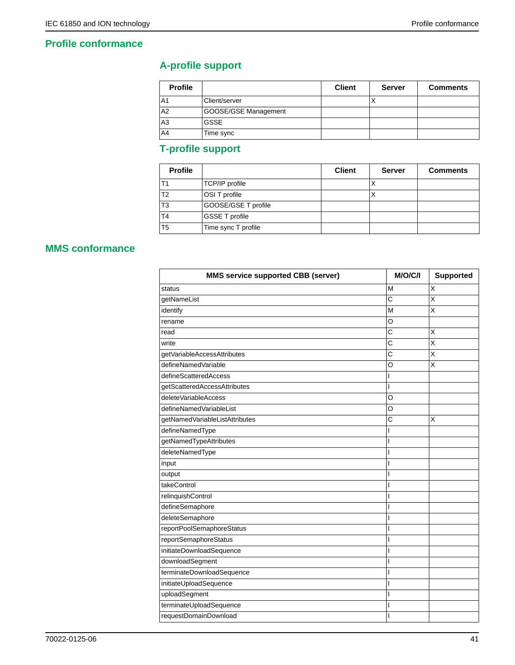## **Profile conformance**

# **A-profile support**

| <b>Profile</b> |                      | <b>Client</b> | <b>Server</b> | <b>Comments</b> |
|----------------|----------------------|---------------|---------------|-----------------|
| IA1            | Client/server        |               |               |                 |
| A2             | GOOSE/GSE Management |               |               |                 |
| lA3            | <b>GSSE</b>          |               |               |                 |
| A4             | Time sync            |               |               |                 |

# **T-profile support**

| <b>Profile</b> |                       | <b>Client</b> | <b>Server</b> | <b>Comments</b> |
|----------------|-----------------------|---------------|---------------|-----------------|
| T <sub>1</sub> | TCP/IP profile        |               | ↗             |                 |
| T <sub>2</sub> | OSI T profile         |               | $\lambda$     |                 |
| T <sub>3</sub> | GOOSE/GSE T profile   |               |               |                 |
| T <sub>4</sub> | <b>GSSE T profile</b> |               |               |                 |
| T <sub>5</sub> | Time sync T profile   |               |               |                 |

# **MMS conformance**

| <b>MMS service supported CBB (server)</b> | M/O/C/I        | <b>Supported</b> |
|-------------------------------------------|----------------|------------------|
| status                                    | M              | X                |
| getNameList                               | C              | X                |
| identify                                  | M              | X                |
| rename                                    | $\circ$        |                  |
| read                                      | C              | X                |
| write                                     | C              | X                |
| getVariableAccessAttributes               | C              | X                |
| defineNamedVariable                       | O              | X                |
| defineScatteredAccess                     | I              |                  |
| getScatteredAccessAttributes              | $\mathsf{I}$   |                  |
| deleteVariableAccess                      | O              |                  |
| defineNamedVariableList                   | O              |                  |
| getNamedVariableListAttributes            | C              | X                |
| defineNamedType                           | I              |                  |
| getNamedTypeAttributes                    | $\mathsf{I}$   |                  |
| deleteNamedType                           | $\mathsf{I}$   |                  |
| input                                     | I              |                  |
| output                                    | $\mathbf{I}$   |                  |
| takeControl                               | I              |                  |
| relinquishControl                         |                |                  |
| defineSemaphore                           | I              |                  |
| deleteSemaphore                           | I              |                  |
| reportPoolSemaphoreStatus                 | $\mathsf{I}$   |                  |
| reportSemaphoreStatus                     | I              |                  |
| initiateDownloadSequence                  | $\overline{1}$ |                  |
| downloadSegment                           | ı              |                  |
| terminateDownloadSequence                 | $\overline{1}$ |                  |
| initiateUploadSequence                    | $\overline{1}$ |                  |
| uploadSegment                             | ı              |                  |
| terminateUploadSequence                   | $\mathbf{I}$   |                  |
| requestDomainDownload                     | $\overline{1}$ |                  |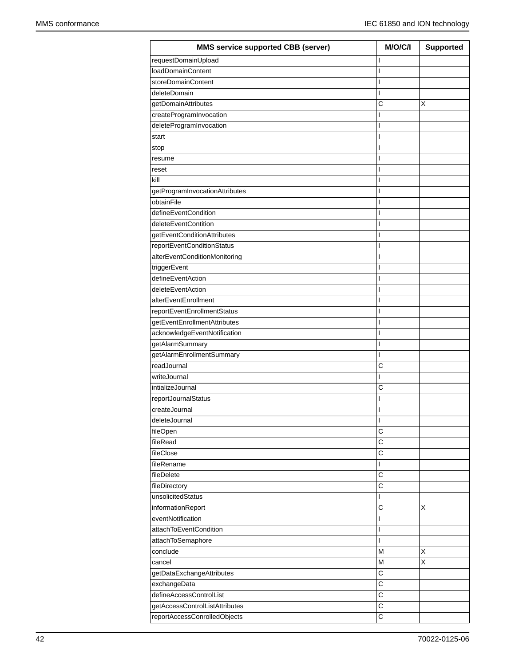| <b>MMS service supported CBB (server)</b> | M/O/C/I | <b>Supported</b> |
|-------------------------------------------|---------|------------------|
| requestDomainUpload                       | ı       |                  |
| loadDomainContent                         | ı       |                  |
| storeDomainContent                        | I       |                  |
| deleteDomain                              | ı       |                  |
| getDomainAttributes                       | C       | X                |
| createProgramInvocation                   | ı       |                  |
| deleteProgramInvocation                   | ı       |                  |
| start                                     | ı       |                  |
| stop                                      | I       |                  |
| resume                                    | ı       |                  |
| reset                                     | ı       |                  |
| kill                                      | I       |                  |
| getProgramInvocationAttributes            | ı       |                  |
| obtainFile                                | ı       |                  |
| defineEventCondition                      | I       |                  |
| deleteEventContition                      | I       |                  |
| getEventConditionAttributes               | ı       |                  |
| reportEventConditionStatus                | I       |                  |
| alterEventConditionMonitoring             | ı       |                  |
| triggerEvent                              | ı       |                  |
| defineEventAction                         | I       |                  |
| deleteEventAction                         | ı       |                  |
| alterEventEnrollment                      | ı       |                  |
| reportEventEnrollmentStatus               | I       |                  |
| getEventEnrollmentAttributes              | ı       |                  |
| acknowledgeEventNotification              | ı       |                  |
| getAlarmSummary                           | I       |                  |
| getAlarmEnrollmentSummary                 | L       |                  |
| readJournal                               | C       |                  |
| writeJournal                              | I       |                  |
| intializeJournal                          | C       |                  |
| reportJournalStatus                       | ı       |                  |
| createJournal                             | I       |                  |
| deleteJournal                             | I       |                  |
| fileOpen                                  | C       |                  |
| fileRead                                  | C       |                  |
| fileClose                                 | C       |                  |
| fileRename                                | L       |                  |
| fileDelete                                | C       |                  |
| fileDirectory                             | C       |                  |
| unsolicitedStatus                         | ı       |                  |
| informationReport                         | C       | X                |
| eventNotification                         | ı       |                  |
| attachToEventCondition                    | I       |                  |
| attachToSemaphore                         | I       |                  |
| conclude                                  | M       | X                |
| cancel                                    | M       | X                |
| getDataExchangeAttributes                 | C       |                  |
| exchangeData                              | С       |                  |
| defineAccessControlList                   | C       |                  |
| getAccessControlListAttributes            | C       |                  |
| reportAccessConrolledObjects              | C       |                  |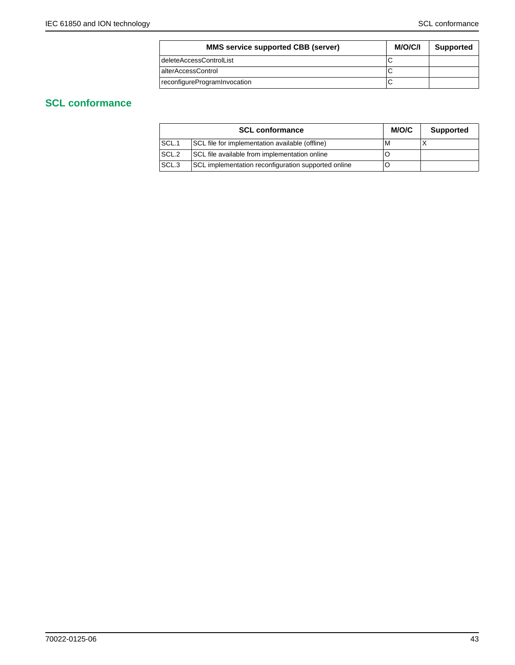| <b>MMS service supported CBB (server)</b> | <b>M/O/C/I</b> | <b>Supported</b> |
|-------------------------------------------|----------------|------------------|
| deleteAccessControlList                   |                |                  |
| alterAccessControl                        |                |                  |
| reconfigureProgramInvocation              |                |                  |

# **SCL conformance**

|                  | <b>SCL conformance</b>                              | M/O/C | <b>Supported</b> |
|------------------|-----------------------------------------------------|-------|------------------|
| SCL.1            | SCL file for implementation available (offline)     | м     |                  |
| SCL.2            | SCL file available from implementation online       |       |                  |
| SCL <sub>3</sub> | SCL implementation reconfiguration supported online |       |                  |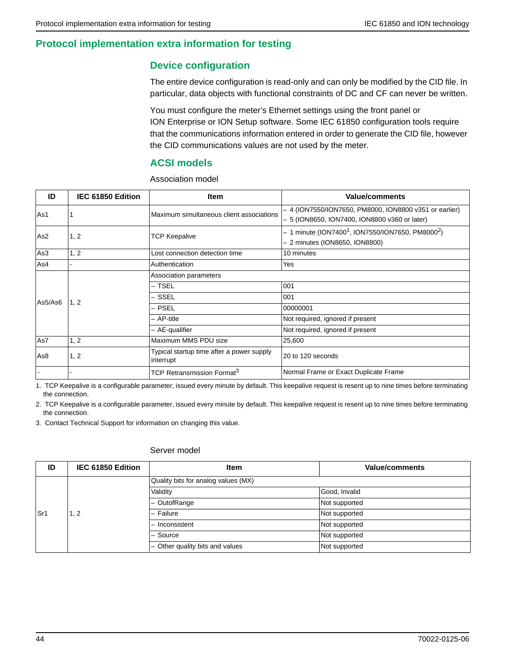## **Protocol implementation extra information for testing**

## **Device configuration**

The entire device configuration is read-only and can only be modified by the CID file. In particular, data objects with functional constraints of DC and CF can never be written.

You must configure the meter's Ethernet settings using the front panel or ION Enterprise or ION Setup software. Some IEC 61850 configuration tools require that the communications information entered in order to generate the CID file, however the CID communications values are not used by the meter.

## **ACSI models**

Association model

| ID              | IEC 61850 Edition | <b>Item</b>                                            | <b>Value/comments</b>                                                                                         |
|-----------------|-------------------|--------------------------------------------------------|---------------------------------------------------------------------------------------------------------------|
| As1             |                   | Maximum simultaneous client associations               | - 4 (ION7550/ION7650, PM8000, ION8800 v351 or earlier)<br>- 5 (ION8650, ION7400, ION8800 v360 or later)       |
| As <sub>2</sub> | 1, 2              | TCP Keepalive                                          | $-$ 1 minute (ION7400 <sup>1</sup> , ION7550/ION7650, PM8000 <sup>2</sup> )<br>- 2 minutes (ION8650, ION8800) |
| As3             | 1, 2              | Lost connection detection time                         | 10 minutes                                                                                                    |
| As4             |                   | Authentication                                         | Yes                                                                                                           |
|                 | 1, 2              | Association parameters                                 |                                                                                                               |
|                 |                   | – TSEL                                                 | 001                                                                                                           |
| As5/As6         |                   | – SSEL                                                 | 001                                                                                                           |
|                 |                   | - PSEL                                                 | 00000001                                                                                                      |
|                 |                   | - AP-title                                             | Not required, ignored if present                                                                              |
|                 |                   | - AE-qualifier                                         | Not required, ignored if present                                                                              |
| As7             | 1, 2              | Maximum MMS PDU size                                   | 25,600                                                                                                        |
| As8             | 1, 2              | Typical startup time after a power supply<br>interrupt | 20 to 120 seconds                                                                                             |
|                 |                   | TCP Retransmission Format <sup>3</sup>                 | Normal Frame or Exact Duplicate Frame                                                                         |

1. TCP Keepalive is a configurable parameter, issued every minute by default. This keepalive request is resent up to nine times before terminating the connection.

2. TCP Keepalive is a configurable parameter, issued every minute by default. This keepalive request is resent up to nine times before terminating the connection.

3. Contact Technical Support for information on changing this value.

#### Server model

| ID  | IEC 61850 Edition | <b>Item</b>                         | <b>Value/comments</b> |
|-----|-------------------|-------------------------------------|-----------------------|
|     |                   | Quality bits for analog values (MX) |                       |
|     |                   | Validity                            | Good, Invalid         |
|     |                   | - OutofRange                        | Not supported         |
| Sr1 | 2 .ا              | - Failure                           | Not supported         |
|     |                   | - Inconsistent                      | Not supported         |
|     |                   | - Source                            | Not supported         |
|     |                   | - Other quality bits and values     | Not supported         |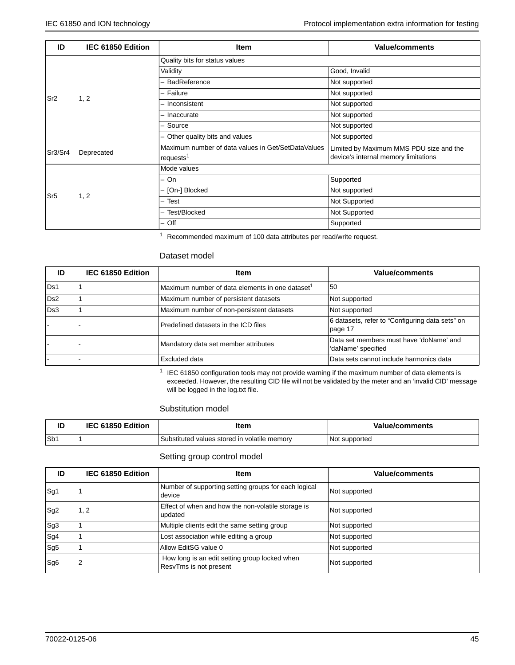| ID              | IEC 61850 Edition | <b>Item</b>                                        | <b>Value/comments</b>                   |
|-----------------|-------------------|----------------------------------------------------|-----------------------------------------|
|                 |                   | Quality bits for status values                     |                                         |
|                 |                   | Validity                                           | Good, Invalid                           |
|                 |                   | - BadReference                                     | Not supported                           |
| Sr <sub>2</sub> | 1, 2              | - Failure                                          | Not supported                           |
|                 |                   | - Inconsistent                                     | Not supported                           |
|                 |                   | - Inaccurate                                       | Not supported                           |
|                 |                   | - Source                                           | Not supported                           |
|                 |                   | - Other quality bits and values                    | Not supported                           |
| Sr3/Sr4         | Deprecated        | Maximum number of data values in Get/SetDataValues | Limited by Maximum MMS PDU size and the |
|                 |                   | requests <sup>1</sup>                              | device's internal memory limitations    |
|                 |                   | Mode values                                        |                                         |
|                 |                   | – On                                               | Supported                               |
| Sr <sub>5</sub> | 1, 2              | - [On-] Blocked                                    | Not supported                           |
|                 |                   | – Test                                             | Not Supported                           |
|                 |                   | Test/Blocked                                       | Not Supported                           |
|                 |                   | $-$ Off                                            | Supported                               |

<sup>1</sup> Recommended maximum of 100 data attributes per read/write request.

#### Dataset model

| ID              | IEC 61850 Edition | <b>Item</b>                                                 | <b>Value/comments</b>                                         |
|-----------------|-------------------|-------------------------------------------------------------|---------------------------------------------------------------|
| Ds1             |                   | Maximum number of data elements in one dataset <sup>1</sup> | 50                                                            |
| D <sub>s2</sub> |                   | Maximum number of persistent datasets                       | Not supported                                                 |
| Ds3             |                   | Maximum number of non-persistent datasets                   | Not supported                                                 |
|                 |                   | Predefined datasets in the ICD files                        | 6 datasets, refer to "Configuring data sets" on<br>page 17    |
|                 |                   | Mandatory data set member attributes                        | Data set members must have 'doName' and<br>'daName' specified |
|                 |                   | Excluded data                                               | Data sets cannot include harmonics data                       |

 $1$  IEC 61850 configuration tools may not provide warning if the maximum number of data elements is exceeded. However, the resulting CID file will not be validated by the meter and an 'invalid CID' message will be logged in the log.txt file.

#### Substitution model

| IC  | IEC 61850 Edition | ltem                                         | Value/comments |
|-----|-------------------|----------------------------------------------|----------------|
| Sb1 |                   | Substituted values stored in volatile memory | Not supported  |

#### Setting group control model

| ID              | IEC 61850 Edition | <b>Item</b>                                                             | <b>Value/comments</b> |
|-----------------|-------------------|-------------------------------------------------------------------------|-----------------------|
| Sg1             |                   | Number of supporting setting groups for each logical<br>device          | Not supported         |
| Sq2             | 1, 2              | Effect of when and how the non-volatile storage is<br>updated           | Not supported         |
| Sg <sub>3</sub> |                   | Multiple clients edit the same setting group                            | Not supported         |
| Sg4             |                   | Lost association while editing a group                                  | Not supported         |
| Sg5             |                   | Allow EditSG value 0                                                    | Not supported         |
| Sg <sub>6</sub> |                   | How long is an edit setting group locked when<br>ResvTms is not present | Not supported         |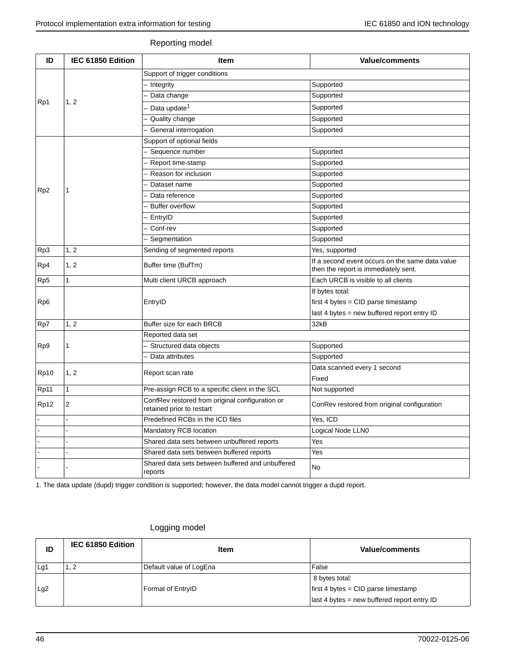#### Reporting model

| ID               | IEC 61850 Edition | Item                                                                         | <b>Value/comments</b>                                                                                                                                                                                                                                                                                                                                                                                                                                                                                                                                |
|------------------|-------------------|------------------------------------------------------------------------------|------------------------------------------------------------------------------------------------------------------------------------------------------------------------------------------------------------------------------------------------------------------------------------------------------------------------------------------------------------------------------------------------------------------------------------------------------------------------------------------------------------------------------------------------------|
|                  |                   | Support of trigger conditions                                                |                                                                                                                                                                                                                                                                                                                                                                                                                                                                                                                                                      |
|                  |                   | - Integrity                                                                  | Supported                                                                                                                                                                                                                                                                                                                                                                                                                                                                                                                                            |
|                  |                   | Data change                                                                  | Supported                                                                                                                                                                                                                                                                                                                                                                                                                                                                                                                                            |
| Rp1              | 1, 2              | Data update <sup>1</sup>                                                     | Supported                                                                                                                                                                                                                                                                                                                                                                                                                                                                                                                                            |
|                  |                   | Quality change                                                               | Supported                                                                                                                                                                                                                                                                                                                                                                                                                                                                                                                                            |
|                  |                   | General interrogation                                                        | Supported                                                                                                                                                                                                                                                                                                                                                                                                                                                                                                                                            |
|                  |                   | Support of optional fields                                                   |                                                                                                                                                                                                                                                                                                                                                                                                                                                                                                                                                      |
|                  |                   | Sequence number                                                              | Supported                                                                                                                                                                                                                                                                                                                                                                                                                                                                                                                                            |
|                  |                   | Report time-stamp                                                            | Supported                                                                                                                                                                                                                                                                                                                                                                                                                                                                                                                                            |
|                  |                   | Reason for inclusion                                                         | Supported<br>Supported<br>Supported<br>Supported<br>Supported<br>Supported<br>Supported<br>Yes, supported<br>If a second event occurs on the same data value<br>then the report is immediately sent.<br>Each URCB is visible to all clients<br>8 bytes total:<br>first 4 bytes = $CID$ parse timestamp<br>last 4 bytes = new buffered report entry ID<br>32kB<br>Supported<br>Supported<br>Data scanned every 1 second<br>Fixed<br>Not supported<br>ConRev restored from original configuration<br>Yes, ICD<br>Logical Node LLN0<br>Yes<br>Yes<br>No |
|                  |                   | Dataset name                                                                 |                                                                                                                                                                                                                                                                                                                                                                                                                                                                                                                                                      |
| R <sub>p</sub> 2 | 1                 | Data reference                                                               |                                                                                                                                                                                                                                                                                                                                                                                                                                                                                                                                                      |
|                  |                   | <b>Buffer overflow</b>                                                       |                                                                                                                                                                                                                                                                                                                                                                                                                                                                                                                                                      |
|                  |                   | EntryID                                                                      |                                                                                                                                                                                                                                                                                                                                                                                                                                                                                                                                                      |
|                  |                   | Conf-rev                                                                     |                                                                                                                                                                                                                                                                                                                                                                                                                                                                                                                                                      |
|                  |                   | Segmentation                                                                 |                                                                                                                                                                                                                                                                                                                                                                                                                                                                                                                                                      |
| Rp3              | 1, 2              | Sending of segmented reports                                                 |                                                                                                                                                                                                                                                                                                                                                                                                                                                                                                                                                      |
| Rp4              | 1, 2              | Buffer time (BufTm)                                                          |                                                                                                                                                                                                                                                                                                                                                                                                                                                                                                                                                      |
| Rp5              | $\mathbf{1}$      | Multi client URCB approach                                                   |                                                                                                                                                                                                                                                                                                                                                                                                                                                                                                                                                      |
|                  |                   |                                                                              |                                                                                                                                                                                                                                                                                                                                                                                                                                                                                                                                                      |
| Rp <sub>6</sub>  |                   | EntryID                                                                      |                                                                                                                                                                                                                                                                                                                                                                                                                                                                                                                                                      |
|                  |                   |                                                                              |                                                                                                                                                                                                                                                                                                                                                                                                                                                                                                                                                      |
| Rp7              | 1, 2              | Buffer size for each BRCB                                                    |                                                                                                                                                                                                                                                                                                                                                                                                                                                                                                                                                      |
|                  |                   | Reported data set                                                            |                                                                                                                                                                                                                                                                                                                                                                                                                                                                                                                                                      |
| Rp9              | 1                 | Structured data objects                                                      |                                                                                                                                                                                                                                                                                                                                                                                                                                                                                                                                                      |
|                  |                   | Data attributes                                                              |                                                                                                                                                                                                                                                                                                                                                                                                                                                                                                                                                      |
|                  |                   |                                                                              |                                                                                                                                                                                                                                                                                                                                                                                                                                                                                                                                                      |
| Rp10             | 1, 2              | Report scan rate                                                             |                                                                                                                                                                                                                                                                                                                                                                                                                                                                                                                                                      |
| Rp11             | $\mathbf{1}$      | Pre-assign RCB to a specific client in the SCL                               |                                                                                                                                                                                                                                                                                                                                                                                                                                                                                                                                                      |
| Rp12             | $\overline{2}$    | ConfRev restored from original configuration or<br>retained prior to restart |                                                                                                                                                                                                                                                                                                                                                                                                                                                                                                                                                      |
|                  |                   | Predefined RCBs in the ICD files                                             |                                                                                                                                                                                                                                                                                                                                                                                                                                                                                                                                                      |
|                  |                   | Mandatory RCB location                                                       |                                                                                                                                                                                                                                                                                                                                                                                                                                                                                                                                                      |
|                  |                   | Shared data sets between unbuffered reports                                  |                                                                                                                                                                                                                                                                                                                                                                                                                                                                                                                                                      |
|                  |                   | Shared data sets between buffered reports                                    |                                                                                                                                                                                                                                                                                                                                                                                                                                                                                                                                                      |
|                  |                   | Shared data sets between buffered and unbuffered<br>reports                  |                                                                                                                                                                                                                                                                                                                                                                                                                                                                                                                                                      |

1. The data update (dupd) trigger condition is supported; however, the data model cannot trigger a dupd report.

## Logging model

| ID  | IEC 61850 Edition | <b>Item</b>             | Value/comments                                      |  |
|-----|-------------------|-------------------------|-----------------------------------------------------|--|
| Lg1 | 1, 2              | Default value of LogEna | False                                               |  |
|     |                   |                         | 8 bytes total:                                      |  |
| Lg2 |                   | Format of EntryID       | $first 4 bytes = CID parse timestamp$               |  |
|     |                   |                         | $\vert$ last 4 bytes = new buffered report entry ID |  |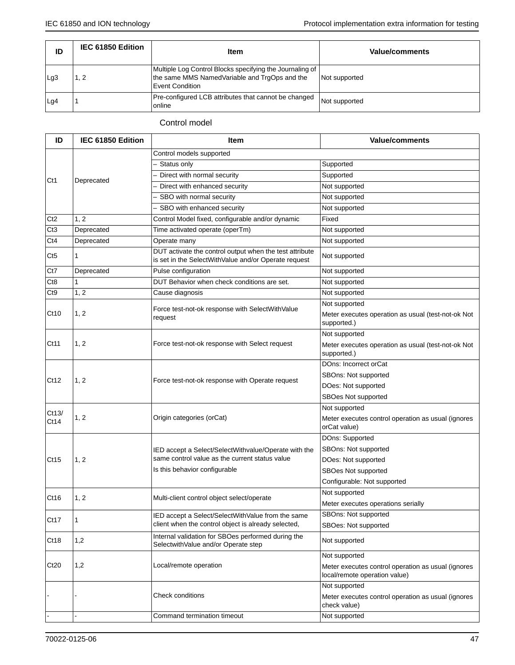| ID  | IEC 61850 Edition | <b>Item</b>                                                                                                                         | Value/comments |
|-----|-------------------|-------------------------------------------------------------------------------------------------------------------------------------|----------------|
| Lg3 | I. 2              | Multiple Log Control Blocks specifying the Journaling of<br>the same MMS NamedVariable and TrgOps and the<br><b>Event Condition</b> | Not supported  |
| Lg4 |                   | Pre-configured LCB attributes that cannot be changed<br>online                                                                      | Not supported  |

## Control model

| IEC 61850 Edition | <b>Item</b>                                                                                                     | Value/comments                                                                                                                                                                                                   |                      |  |
|-------------------|-----------------------------------------------------------------------------------------------------------------|------------------------------------------------------------------------------------------------------------------------------------------------------------------------------------------------------------------|----------------------|--|
|                   | Control models supported                                                                                        |                                                                                                                                                                                                                  |                      |  |
|                   | Status only                                                                                                     | Supported                                                                                                                                                                                                        |                      |  |
|                   | - Direct with normal security                                                                                   | Supported                                                                                                                                                                                                        |                      |  |
|                   | Direct with enhanced security                                                                                   | Not supported                                                                                                                                                                                                    |                      |  |
|                   | SBO with normal security                                                                                        | Not supported                                                                                                                                                                                                    |                      |  |
|                   | - SBO with enhanced security                                                                                    | Not supported                                                                                                                                                                                                    |                      |  |
| 1, 2              | Control Model fixed, configurable and/or dynamic                                                                | Fixed                                                                                                                                                                                                            |                      |  |
| Deprecated        | Time activated operate (operTm)                                                                                 | Not supported                                                                                                                                                                                                    |                      |  |
| Deprecated        | Operate many                                                                                                    | Not supported                                                                                                                                                                                                    |                      |  |
| 1                 | DUT activate the control output when the test attribute<br>is set in the SelectWithValue and/or Operate request | Not supported                                                                                                                                                                                                    |                      |  |
| Deprecated        | Pulse configuration                                                                                             | Not supported                                                                                                                                                                                                    |                      |  |
| 1                 | DUT Behavior when check conditions are set.                                                                     | Not supported                                                                                                                                                                                                    |                      |  |
| 1, 2              | Cause diagnosis                                                                                                 | Not supported                                                                                                                                                                                                    |                      |  |
|                   |                                                                                                                 | Not supported                                                                                                                                                                                                    |                      |  |
| 1, 2              | request                                                                                                         | Meter executes operation as usual (test-not-ok Not<br>supported.)                                                                                                                                                |                      |  |
| 1, 2              | Force test-not-ok response with Select request                                                                  | Not supported                                                                                                                                                                                                    |                      |  |
|                   |                                                                                                                 | Meter executes operation as usual (test-not-ok Not<br>supported.)                                                                                                                                                |                      |  |
| 1, 2              | Force test-not-ok response with Operate request                                                                 | DOns: Incorrect orCat                                                                                                                                                                                            |                      |  |
|                   |                                                                                                                 | SBOns: Not supported                                                                                                                                                                                             |                      |  |
|                   |                                                                                                                 | DOes: Not supported                                                                                                                                                                                              |                      |  |
|                   |                                                                                                                 | SBOes Not supported                                                                                                                                                                                              |                      |  |
|                   |                                                                                                                 | Not supported                                                                                                                                                                                                    |                      |  |
|                   | Origin categories (orCat)                                                                                       | Meter executes control operation as usual (ignores<br>orCat value)                                                                                                                                               |                      |  |
|                   |                                                                                                                 | DOns: Supported                                                                                                                                                                                                  |                      |  |
| 1, 2              |                                                                                                                 |                                                                                                                                                                                                                  | SBOns: Not supported |  |
|                   |                                                                                                                 | DOes: Not supported                                                                                                                                                                                              |                      |  |
|                   | Is this behavior configurable                                                                                   | SBOes Not supported                                                                                                                                                                                              |                      |  |
|                   |                                                                                                                 | Configurable: Not supported                                                                                                                                                                                      |                      |  |
| 1, 2              | Multi-client control object select/operate                                                                      | Not supported                                                                                                                                                                                                    |                      |  |
|                   |                                                                                                                 | Meter executes operations serially                                                                                                                                                                               |                      |  |
|                   | IED accept a Select/SelectWithValue from the same                                                               | SBOns: Not supported                                                                                                                                                                                             |                      |  |
|                   |                                                                                                                 | SBOes: Not supported                                                                                                                                                                                             |                      |  |
| 1,2               | Internal validation for SBOes performed during the<br>SelectwithValue and/or Operate step                       | Not supported                                                                                                                                                                                                    |                      |  |
| 1,2               | Local/remote operation                                                                                          | Not supported                                                                                                                                                                                                    |                      |  |
|                   |                                                                                                                 | Meter executes control operation as usual (ignores<br>local/remote operation value)                                                                                                                              |                      |  |
|                   |                                                                                                                 | Not supported                                                                                                                                                                                                    |                      |  |
|                   | <b>Check conditions</b>                                                                                         | Meter executes control operation as usual (ignores<br>check value)                                                                                                                                               |                      |  |
|                   | Command termination timeout                                                                                     | Not supported                                                                                                                                                                                                    |                      |  |
|                   | Deprecated<br>1, 2<br>1                                                                                         | Force test-not-ok response with SelectWithValue<br>IED accept a Select/SelectWithvalue/Operate with the<br>same control value as the current status value<br>client when the control object is already selected, |                      |  |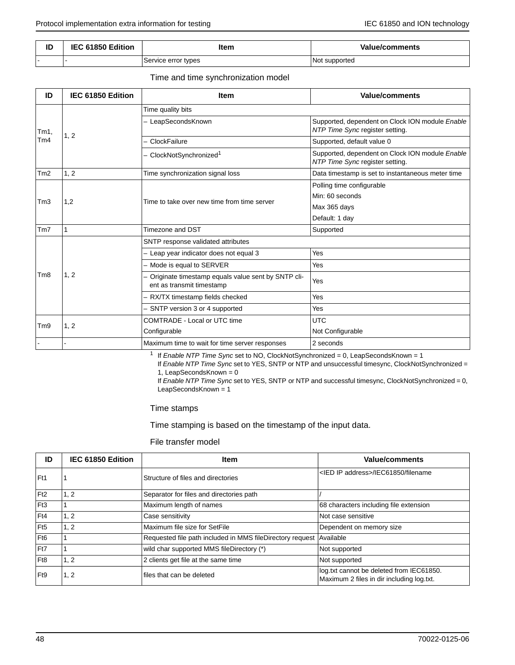| ID  | 61850 Edition<br>IFC | ltem                | <b>Value/comments</b>     |  |
|-----|----------------------|---------------------|---------------------------|--|
| . . |                      | Service error types | <b>Not</b><br>: supported |  |

Time and time synchronization model

| ID               | IEC 61850 Edition | <b>Item</b>                                                                       | <b>Value/comments</b>                                                              |  |  |
|------------------|-------------------|-----------------------------------------------------------------------------------|------------------------------------------------------------------------------------|--|--|
|                  | 1, 2              | Time quality bits                                                                 |                                                                                    |  |  |
| Tm1,             |                   | - LeapSecondsKnown                                                                | Supported, dependent on Clock ION module Enable<br>NTP Time Sync register setting. |  |  |
| Tm4              |                   | - ClockFailure                                                                    | Supported, default value 0                                                         |  |  |
|                  |                   | - ClockNotSynchronized <sup>1</sup>                                               | Supported, dependent on Clock ION module Enable<br>NTP Time Sync register setting. |  |  |
| Tm2              | 1, 2              | Time synchronization signal loss                                                  | Data timestamp is set to instantaneous meter time                                  |  |  |
|                  |                   | Time to take over new time from time server                                       | Polling time configurable                                                          |  |  |
| Tm3              | 1,2               |                                                                                   | Min: 60 seconds                                                                    |  |  |
|                  |                   |                                                                                   | Max 365 days                                                                       |  |  |
|                  |                   |                                                                                   | Default: 1 day                                                                     |  |  |
| Tm7              |                   | Timezone and DST                                                                  | Supported                                                                          |  |  |
|                  | 1, 2              | SNTP response validated attributes                                                |                                                                                    |  |  |
|                  |                   | - Leap year indicator does not equal 3                                            | Yes                                                                                |  |  |
|                  |                   | - Mode is equal to SERVER                                                         | Yes                                                                                |  |  |
| T <sub>m</sub> 8 |                   | - Originate timestamp equals value sent by SNTP cli-<br>ent as transmit timestamp | Yes                                                                                |  |  |
|                  |                   | RX/TX timestamp fields checked                                                    | Yes                                                                                |  |  |
|                  |                   | - SNTP version 3 or 4 supported                                                   | Yes                                                                                |  |  |
|                  | 1, 2              | COMTRADE - Local or UTC time                                                      | <b>UTC</b>                                                                         |  |  |
| Tm9              |                   | Configurable                                                                      | Not Configurable                                                                   |  |  |
|                  |                   | Maximum time to wait for time server responses                                    | 2 seconds                                                                          |  |  |

<sup>1</sup> If *Enable NTP Time Sync* set to NO, ClockNotSynchronized = 0, LeapSecondsKnown = 1

If *Enable NTP Time Sync* set to YES, SNTP or NTP and unsuccessful timesync, ClockNotSynchronized = 1, LeapSecondsKnown = 0

If *Enable NTP Time Sync* set to YES, SNTP or NTP and successful timesync, ClockNotSynchronized = 0, LeapSecondsKnown = 1

#### Time stamps

Time stamping is based on the timestamp of the input data.

File transfer model

| ID              | IEC 61850 Edition | <b>Item</b>                                               | <b>Value/comments</b>                                                                 |
|-----------------|-------------------|-----------------------------------------------------------|---------------------------------------------------------------------------------------|
| Ft1             |                   | Structure of files and directories                        | <ied address="" ip="">/IEC61850/filename</ied>                                        |
| Ft <sub>2</sub> | 1, 2              | Separator for files and directories path                  |                                                                                       |
| Ft3             |                   | Maximum length of names                                   | 68 characters including file extension                                                |
| Ft4             | 1, 2              | Case sensitivity                                          | Not case sensitive                                                                    |
| Ft <sub>5</sub> | 1, 2              | Maximum file size for SetFile                             | Dependent on memory size                                                              |
| Ft6             |                   | Requested file path included in MMS fileDirectory request | Available                                                                             |
| Ft7             |                   | wild char supported MMS fileDirectory (*)                 | Not supported                                                                         |
| Ft8             | 1, 2              | 2 clients get file at the same time                       | Not supported                                                                         |
| Ft9             | 1, 2              | files that can be deleted                                 | log.txt cannot be deleted from IEC61850.<br>Maximum 2 files in dir including log.txt. |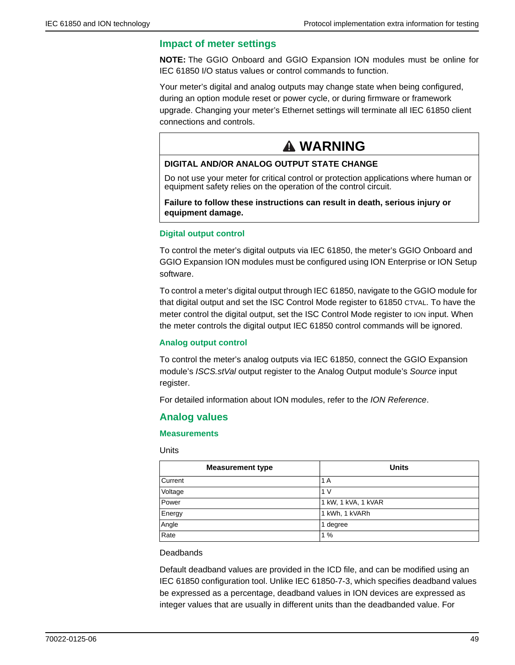## **Impact of meter settings**

**NOTE:** The GGIO Onboard and GGIO Expansion ION modules must be online for IEC 61850 I/O status values or control commands to function.

Your meter's digital and analog outputs may change state when being configured, during an option module reset or power cycle, or during firmware or framework upgrade. Changing your meter's Ethernet settings will terminate all IEC 61850 client connections and controls.

# **WARNING WARNING**

### **DIGITAL AND/OR ANALOG OUTPUT STATE CHANGE**

Do not use your meter for critical control or protection applications where human or equipment safety relies on the operation of the control circuit.

#### **Failure to follow these instructions can result in death, serious injury or equipment damage.**

#### **Digital output control**

To control the meter's digital outputs via IEC 61850, the meter's GGIO Onboard and GGIO Expansion ION modules must be configured using ION Enterprise or ION Setup software.

To control a meter's digital output through IEC 61850, navigate to the GGIO module for that digital output and set the ISC Control Mode register to 61850 CTVAL. To have the meter control the digital output, set the ISC Control Mode register to ION input. When the meter controls the digital output IEC 61850 control commands will be ignored.

#### **Analog output control**

To control the meter's analog outputs via IEC 61850, connect the GGIO Expansion module's *ISCS.stVal* output register to the Analog Output module's *Source* input register.

For detailed information about ION modules, refer to the *ION Reference*.

### **Analog values**

#### **Measurements**

#### Units

| <b>Measurement type</b> | <b>Units</b>        |
|-------------------------|---------------------|
| Current                 | 1 A                 |
| Voltage                 | 1 <sub>V</sub>      |
| Power                   | 1 kW, 1 kVA, 1 kVAR |
| Energy                  | 1 kWh, 1 kVARh      |
| Angle                   | 1 degree            |
| Rate                    | 1%                  |

#### **Deadbands**

Default deadband values are provided in the ICD file, and can be modified using an IEC 61850 configuration tool. Unlike IEC 61850-7-3, which specifies deadband values be expressed as a percentage, deadband values in ION devices are expressed as integer values that are usually in different units than the deadbanded value. For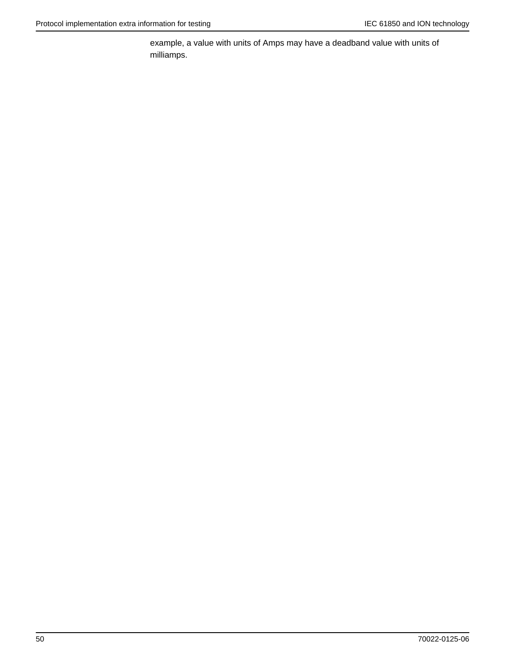example, a value with units of Amps may have a deadband value with units of milliamps.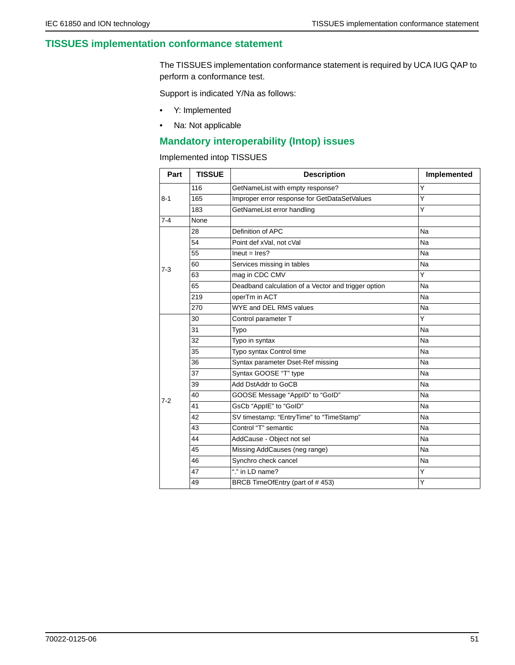## **TISSUES implementation conformance statement**

The TISSUES implementation conformance statement is required by UCA IUG QAP to perform a conformance test.

Support is indicated Y/Na as follows:

- Y: Implemented
- Na: Not applicable

## **Mandatory interoperability (Intop) issues**

Implemented intop TISSUES

| Part    | <b>TISSUE</b> | <b>Description</b>                                  | Implemented |
|---------|---------------|-----------------------------------------------------|-------------|
| $8 - 1$ | 116           | GetNameList with empty response?                    | Y           |
|         | 165           | Improper error response for GetDataSetValues        | Y           |
|         | 183           | GetNameList error handling                          | Y           |
| $7 - 4$ | None          |                                                     |             |
|         | 28            | Definition of APC                                   | Na          |
|         | 54            | Point def xVal, not cVal                            | Na          |
|         | 55            | $lneut = lres?$                                     | Na          |
| $7 - 3$ | 60            | Services missing in tables                          | Na          |
|         | 63            | mag in CDC CMV                                      | Y           |
|         | 65            | Deadband calculation of a Vector and trigger option | Na          |
|         | 219           | operTm in ACT                                       | Na          |
|         | 270           | WYE and DEL RMS values                              | Na          |
|         | 30            | Control parameter T                                 | Y           |
|         | 31            | Typo                                                | Na          |
|         | 32            | Typo in syntax                                      | Na          |
|         | 35            | Typo syntax Control time                            | Na          |
|         | 36            | Syntax parameter Dset-Ref missing                   | Na          |
|         | 37            | Syntax GOOSE "T" type                               | Na          |
|         | 39            | Add DstAddr to GoCB                                 | Na          |
| $7 - 2$ | 40            | GOOSE Message "AppID" to "GoID"                     | Na          |
|         | 41            | GsCb "ApplE" to "GoID"                              | Na          |
|         | 42            | SV timestamp: "EntryTime" to "TimeStamp"            | Na          |
|         | 43            | Control "T" semantic                                | Na          |
|         | 44            | AddCause - Object not sel                           | Na          |
|         | 45            | Missing AddCauses (neg range)                       | Na          |
|         | 46            | Synchro check cancel                                | Na          |
|         | 47            | "." in LD name?                                     | Y           |
|         | 49            | BRCB TimeOfEntry (part of #453)                     | Y           |